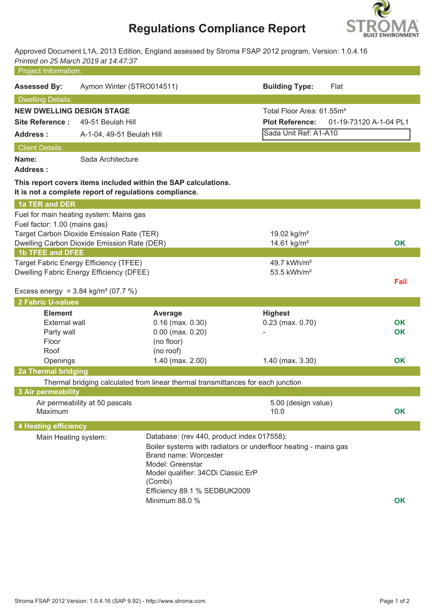# **Regulations Compliance Report**



Approved Document L1A, 2013 Edition, England assessed by Stroma FSAP 2012 program, Version: 1.0.4.16 *Printed on 25 March 2019 at 14:47:37*

| Project Information:                            |                                                                   |                                                                                  |                                                                 |                        |  |
|-------------------------------------------------|-------------------------------------------------------------------|----------------------------------------------------------------------------------|-----------------------------------------------------------------|------------------------|--|
| <b>Assessed By:</b>                             | Aymon Winter (STRO014511)                                         |                                                                                  | <b>Building Type:</b>                                           | Flat                   |  |
| <b>Dwelling Details:</b>                        |                                                                   |                                                                                  |                                                                 |                        |  |
| <b>NEW DWELLING DESIGN STAGE</b>                |                                                                   |                                                                                  | Total Floor Area: 61.55m <sup>2</sup>                           |                        |  |
| <b>Site Reference:</b>                          | 49-51 Beulah Hill                                                 |                                                                                  | <b>Plot Reference:</b>                                          | 01-19-73120 A-1-04 PL1 |  |
| <b>Address:</b>                                 | A-1-04, 49-51 Beulah Hill                                         |                                                                                  | Sada Unit Ref: A1-A10                                           |                        |  |
| <b>Client Details:</b>                          |                                                                   |                                                                                  |                                                                 |                        |  |
| Name:<br><b>Address:</b>                        | Sada Architecture                                                 |                                                                                  |                                                                 |                        |  |
|                                                 | It is not a complete report of regulations compliance.            | This report covers items included within the SAP calculations.                   |                                                                 |                        |  |
| 1a TER and DER                                  |                                                                   |                                                                                  |                                                                 |                        |  |
|                                                 | Fuel for main heating system: Mains gas                           |                                                                                  |                                                                 |                        |  |
| Fuel factor: 1.00 (mains gas)                   | Target Carbon Dioxide Emission Rate (TER)                         |                                                                                  | 19.02 kg/m <sup>2</sup>                                         |                        |  |
|                                                 | Dwelling Carbon Dioxide Emission Rate (DER)                       |                                                                                  | 14.61 kg/m <sup>2</sup>                                         | <b>OK</b>              |  |
| <b>1b TFEE and DFEE</b>                         |                                                                   |                                                                                  |                                                                 |                        |  |
|                                                 | Target Fabric Energy Efficiency (TFEE)<br>49.7 kWh/m <sup>2</sup> |                                                                                  |                                                                 |                        |  |
|                                                 | Dwelling Fabric Energy Efficiency (DFEE)                          |                                                                                  | 53.5 kWh/m <sup>2</sup>                                         |                        |  |
| Excess energy = $3.84 \text{ kg/m}^2 (07.7 \%)$ |                                                                   |                                                                                  |                                                                 | Fail                   |  |
| <b>2 Fabric U-values</b>                        |                                                                   |                                                                                  |                                                                 |                        |  |
| <b>Element</b>                                  |                                                                   | Average                                                                          | <b>Highest</b>                                                  |                        |  |
| <b>External wall</b>                            |                                                                   | $0.16$ (max. $0.30$ )                                                            | $0.23$ (max. $0.70$ )                                           | <b>OK</b>              |  |
| Party wall                                      |                                                                   | $0.00$ (max. $0.20$ )                                                            |                                                                 | OK                     |  |
| Floor                                           |                                                                   | (no floor)                                                                       |                                                                 |                        |  |
| Roof                                            |                                                                   | (no roof)<br>1.40 (max. 2.00)                                                    |                                                                 | OK                     |  |
| Openings<br><b>2a Thermal bridging</b>          |                                                                   |                                                                                  | $1.40$ (max. $3.30$ )                                           |                        |  |
|                                                 |                                                                   | Thermal bridging calculated from linear thermal transmittances for each junction |                                                                 |                        |  |
| <b>3 Air permeability</b>                       |                                                                   |                                                                                  |                                                                 |                        |  |
|                                                 | Air permeability at 50 pascals                                    |                                                                                  | 5.00 (design value)                                             |                        |  |
| Maximum                                         |                                                                   |                                                                                  | 10.0                                                            | <b>OK</b>              |  |
| <b>4 Heating efficiency</b>                     |                                                                   |                                                                                  |                                                                 |                        |  |
| Main Heating system:                            |                                                                   | Database: (rev 440, product index 017558):                                       |                                                                 |                        |  |
|                                                 |                                                                   | <b>Brand name: Worcester</b>                                                     | Boiler systems with radiators or underfloor heating - mains gas |                        |  |
|                                                 |                                                                   | Model: Greenstar                                                                 |                                                                 |                        |  |
|                                                 |                                                                   | Model qualifier: 34CDi Classic ErP                                               |                                                                 |                        |  |
|                                                 |                                                                   | (Combi)                                                                          |                                                                 |                        |  |
|                                                 |                                                                   | Efficiency 89.1 % SEDBUK2009                                                     |                                                                 |                        |  |
|                                                 |                                                                   | Minimum 88.0 %                                                                   |                                                                 | <b>OK</b>              |  |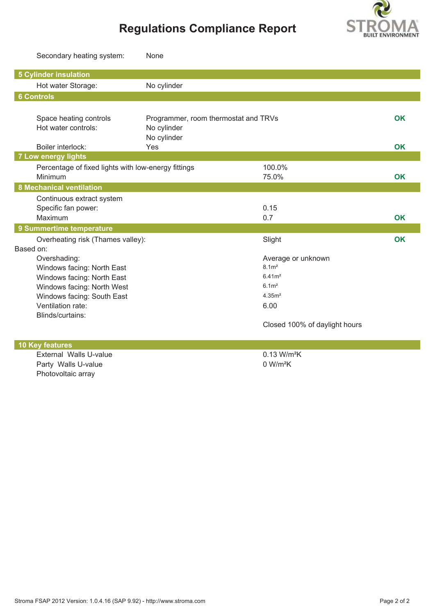

# **Regulations Compliance Report**

|                              | Secondary heating system:                           | None                                 |                               |           |
|------------------------------|-----------------------------------------------------|--------------------------------------|-------------------------------|-----------|
| <b>5 Cylinder insulation</b> |                                                     |                                      |                               |           |
|                              | Hot water Storage:                                  | No cylinder                          |                               |           |
| <b>6 Controls</b>            |                                                     |                                      |                               |           |
|                              |                                                     |                                      |                               |           |
|                              | Space heating controls                              | Programmer, room thermostat and TRVs |                               | OK        |
|                              | Hot water controls:                                 | No cylinder                          |                               |           |
|                              |                                                     | No cylinder                          |                               |           |
|                              | Boiler interlock:                                   | Yes                                  |                               | OK        |
| <b>7 Low energy lights</b>   |                                                     |                                      |                               |           |
|                              | Percentage of fixed lights with low-energy fittings |                                      | 100.0%                        |           |
| Minimum                      |                                                     |                                      | 75.0%                         | OK        |
|                              | <b>8 Mechanical ventilation</b>                     |                                      |                               |           |
|                              | Continuous extract system                           |                                      |                               |           |
|                              | Specific fan power:                                 |                                      | 0.15                          |           |
| Maximum                      |                                                     |                                      | 0.7                           | <b>OK</b> |
|                              | 9 Summertime temperature                            |                                      |                               |           |
|                              | Overheating risk (Thames valley):                   |                                      | Slight                        | OK        |
| Based on:                    |                                                     |                                      |                               |           |
|                              | Overshading:                                        |                                      | Average or unknown            |           |
|                              | Windows facing: North East                          |                                      | 8.1 <sup>2</sup>              |           |
|                              | Windows facing: North East                          |                                      | 6.41m <sup>2</sup>            |           |
|                              | Windows facing: North West                          |                                      | 6.1 <sup>m</sup>              |           |
|                              | Windows facing: South East                          |                                      | 4.35 <sup>2</sup>             |           |
|                              | Ventilation rate:                                   |                                      | 6.00                          |           |
|                              | Blinds/curtains:                                    |                                      |                               |           |
|                              |                                                     |                                      | Closed 100% of daylight hours |           |
| <b>10 Key features</b>       |                                                     |                                      |                               |           |
|                              | External Walls U-value                              |                                      | $0.13$ W/m <sup>2</sup> K     |           |
|                              | Party Walls U-value                                 |                                      | 0 W/m <sup>2</sup> K          |           |
|                              | Photovoltaic array                                  |                                      |                               |           |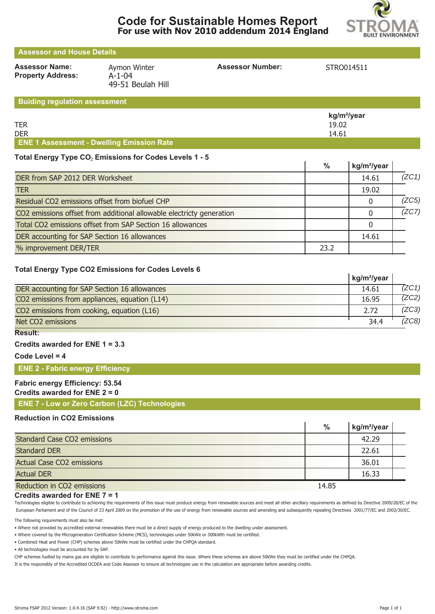

 $\mathbf{I}$ 

| <b>Assessor and House Details</b>                 |                                                   |                         |            |  |  |  |  |  |
|---------------------------------------------------|---------------------------------------------------|-------------------------|------------|--|--|--|--|--|
| <b>Assessor Name:</b><br><b>Property Address:</b> | Aymon Winter<br>$A - 1 - 04$<br>49-51 Beulah Hill | <b>Assessor Number:</b> | STRO014511 |  |  |  |  |  |
| <b>Buiding regulation assessment</b>              |                                                   |                         |            |  |  |  |  |  |

|                                                  | kg/m <sup>2</sup> /year |
|--------------------------------------------------|-------------------------|
| <b>TER</b>                                       | 19.02                   |
| <b>DER</b>                                       | 14.61                   |
| <b>ENE 1 Assessment - Dwelling Emission Rate</b> |                         |

#### Total Energy Type CO<sub>2</sub> Emissions for Codes Levels 1 - 5

|                                                                      | %    | kg/m <sup>2</sup> /year |       |
|----------------------------------------------------------------------|------|-------------------------|-------|
| DER from SAP 2012 DER Worksheet                                      |      | 14.61                   | (ZC1) |
| <b>TER</b>                                                           |      | 19.02                   |       |
| Residual CO2 emissions offset from biofuel CHP                       |      |                         | (ZC5) |
| CO2 emissions offset from additional allowable electricty generation |      |                         | (ZC7) |
| Total CO2 emissions offset from SAP Section 16 allowances            |      |                         |       |
| DER accounting for SAP Section 16 allowances                         |      | 14.61                   |       |
| % improvement DER/TER                                                | 23.2 |                         |       |

#### **Total Energy Type CO2 Emissions for Codes Levels 6**

|                                               | kg/m <sup>2</sup> /year |       |
|-----------------------------------------------|-------------------------|-------|
| DER accounting for SAP Section 16 allowances  | 14.61                   | 7ZC1) |
| CO2 emissions from appliances, equation (L14) | 16.95                   | 7ZC2) |
| CO2 emissions from cooking, equation (L16)    | 2.72                    | (ZC3) |
| Net CO2 emissions                             | 34.4                    | ZC8)  |
| Result:                                       |                         |       |

**Credits awarded for ENE 1 = 3.3**

**Code Level = 4**

#### **ENE 2 - Fabric energy Efficiency**

### **Fabric energy Efficiency: 53.54**

#### **Credits awarded for ENE 2 = 0**

**ENE 7 - Low or Zero Carbon (LZC) Technologies**

#### **Reduction in CO2 Emissions**

|                                    | $\%$  | kg/m <sup>2</sup> /year |  |
|------------------------------------|-------|-------------------------|--|
| <b>Standard Case CO2 emissions</b> |       | 42.29                   |  |
| <b>Standard DER</b>                |       | 22.61                   |  |
| <b>Actual Case CO2 emissions</b>   |       | 36.01                   |  |
| <b>Actual DER</b>                  |       | 16.33                   |  |
| Reduction in CO2 emissions         | 14.85 |                         |  |

#### **Credits awarded for ENE 7 = 1**

Technologies eligible to contribute to achieving the requirements of this issue must produce energy from renewable sources and meet all other ancillary requirements as defined by Directive 2009/28/EC of the European Parliament and of the Council of 23 April 2009 on the promotion of the use of energy from renewable sources and amending and subsequently repealing Directives 2001/77/EC and 2003/30/EC.

The following requirements must also be met:

• Where not provided by accredited external renewables there must be a direct supply of energy produced to the dwelling under assessment.

• Where covered by the Microgeneration Certification Scheme (MCS), technologies under 50kWe or 300kWth must be certified.

• Combined Heat and Power (CHP) schemes above 50kWe must be certified under the CHPQA standard.

• All technologies must be accounted for by SAP.

CHP schemes fuelled by mains gas are eligible to contribute to performance against this issue. Where these schemes are above 50kWe they must be certified under the CHPQA.

It is the responsibly of the Accredited OCDEA and Code Assessor to ensure all technologies use in the calculation are appropriate before awarding credits.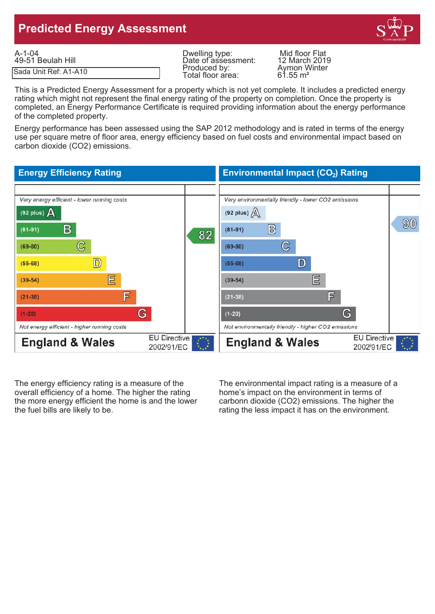## **Predicted Energy Assessment**



| A-1-04                | Dwelling type:                    | Mid floor Flat                      |
|-----------------------|-----------------------------------|-------------------------------------|
| 49-51 Beulah Hill     | Date of assessment:               | 12 March 2019                       |
| Sada Unit Ref: A1-A10 | Produced by:<br>Total floor area: | Avmon Winter<br>$61.55 \text{ m}^2$ |

Date of assessment: 12 March 2019<br>Produced by: Aymon Winter<br>Total floor area: 61.55 m<sup>2</sup> Total floor area:

This is a Predicted Energy Assessment for a property which is not yet complete. It includes a predicted energy rating which might not represent the final energy rating of the property on completion. Once the property is completed, an Energy Performance Certificate is required providing information about the energy performance of the completed property.

Energy performance has been assessed using the SAP 2012 methodology and is rated in terms of the energy use per square metre of floor area, energy efficiency based on fuel costs and environmental impact based on carbon dioxide (CO2) emissions.

#### **Energy Efficiency Rating Environmental Impact (CO<sub>2</sub>) Rating** Very energy efficient - lower running costs Very environmentally friendly - lower CO2 emissions (92 plus)  $\Delta$ (92 plus)  $\Delta$ 90 B  $\mathbb{B}$  $(81 - 91)$  $(81-91)$ 82  $\mathbb{C}$  $\mathbb{C}$  $(69 - 80)$  $(69-80)$  $\mathbb{D}$ D  $(55-68)$  $(55-68)$ 目 巨  $(39-54)$  $(39-54)$ F 肎  $(21 - 38)$  $(21 - 38)$ G G  $(1-20)$  $(1-20)$ Not energy efficient - higher running costs Not environmentally friendly - higher CO2 emissions **EU Directive EU Directive England & Wales England & Wales** 2002/91/EC 2002/91/EC

The energy efficiency rating is a measure of the The environmental impact rating is a measure of a overall efficiency of a home. The higher the rating home's impact on the environment in terms of the more energy efficient the home is and the lower carbonn dioxide (CO2) emissions. The higher the the fuel bills are likely to be. The rating the less impact it has on the environment.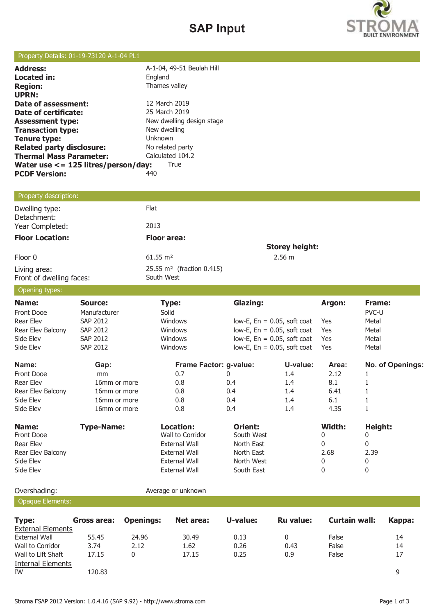# **SAP Input**



### Property Details: 01-19-73120 A-1-04 PL1

| <b>Address:</b>                          | A-1-04, 49-51 Beulah Hill |
|------------------------------------------|---------------------------|
| Located in:                              | England                   |
| <b>Region:</b>                           | Thames valley             |
| <b>UPRN:</b>                             |                           |
| Date of assessment:                      | 12 March 2019             |
| Date of certificate:                     | 25 March 2019             |
| <b>Assessment type:</b>                  | New dwelling design stage |
| <b>Transaction type:</b>                 | New dwelling              |
| <b>Tenure type:</b>                      | Unknown                   |
| <b>Related party disclosure:</b>         | No related party          |
| <b>Thermal Mass Parameter:</b>           | Calculated 104.2          |
| Water use $\lt$ = 125 litres/person/day: | True                      |
| <b>PCDF Version:</b>                     | 440                       |
|                                          |                           |

### Property description:

| Dwelling type:<br>Detachment:            | Flat                                                |                       |
|------------------------------------------|-----------------------------------------------------|-----------------------|
| Year Completed:                          | 2013                                                |                       |
| <b>Floor Location:</b>                   | <b>Floor area:</b>                                  |                       |
|                                          |                                                     | <b>Storey height:</b> |
| Floor 0                                  | $61.55 \text{ m}^2$                                 | $2.56 \text{ m}$      |
| Living area:<br>Front of dwelling faces: | 25.55 m <sup>2</sup> (fraction 0.415)<br>South West |                       |

### Opening types:

| $\sim$ pennig typesi |                   |                        |                 |                                |        |                  |
|----------------------|-------------------|------------------------|-----------------|--------------------------------|--------|------------------|
| Name:                | Source:           | Type:                  | <b>Glazing:</b> |                                | Argon: | Frame:           |
| Front Dooe           | Manufacturer      | Solid                  |                 |                                |        | PVC-U            |
| Rear Elev            | SAP 2012          | Windows                |                 | low-E, $En = 0.05$ , soft coat | Yes    | Metal            |
| Rear Elev Balcony    | SAP 2012          | Windows                |                 | low-E, $En = 0.05$ , soft coat | Yes    | Metal            |
| Side Elev            | SAP 2012          | Windows                |                 | low-E, $En = 0.05$ , soft coat | Yes    | Metal            |
| Side Elev            | <b>SAP 2012</b>   | Windows                |                 | low-E, $En = 0.05$ , soft coat | Yes    | Metal            |
| Name:                | Gap:              | Frame Factor: g-value: |                 | U-value:                       | Area:  | No. of Openings: |
| Front Dooe           | mm                | 0.7                    | 0               | 1.4                            | 2.12   |                  |
| Rear Elev            | 16mm or more      | 0.8                    | 0.4             | $1.4\,$                        | 8.1    |                  |
| Rear Elev Balcony    | 16mm or more      | 0.8                    | 0.4             | $1.4\,$                        | 6.41   |                  |
| Side Elev            | 16mm or more      | 0.8                    | 0.4             | 1.4                            | 6.1    |                  |
| Side Elev            | 16mm or more      | 0.8                    | 0.4             | 1.4                            | 4.35   |                  |
| Name:                | <b>Type-Name:</b> | Location:              | Orient:         |                                | Width: | Height:          |
| Front Dooe           |                   | Wall to Corridor       | South West      |                                | 0      | 0                |
| Rear Elev            |                   | <b>External Wall</b>   | North East      |                                | 0      | 0                |
| Rear Elev Balcony    |                   | <b>External Wall</b>   | North East      |                                | 2.68   | 2.39             |
| Side Elev            |                   | External Wall          | North West      |                                | 0      | 0                |
| Side Elev            |                   | External Wall          | South East      |                                | 0      | 0                |
|                      |                   |                        |                 |                                |        |                  |

Overshading: and a verage or unknown

### Opaque Elements:

| Type:                    | Gross area: | <b>Openings:</b> | Net area: | U-value: | <b>Ru value:</b> | Curtain wall: | Kappa: |
|--------------------------|-------------|------------------|-----------|----------|------------------|---------------|--------|
| <b>External Elements</b> |             |                  |           |          |                  |               |        |
| External Wall            | 55.45       | 24.96            | 30.49     | 0.13     |                  | False         | 14     |
| Wall to Corridor         | 3.74        | 2.12             | 1.62      | 0.26     | 0.43             | False         | 14     |
| Wall to Lift Shaft       | 17.15       | 0                | 17.15     | 0.25     | 0.9              | False         | 17     |
| Internal Elements        |             |                  |           |          |                  |               |        |
| IW                       | 120.83      |                  |           |          |                  |               |        |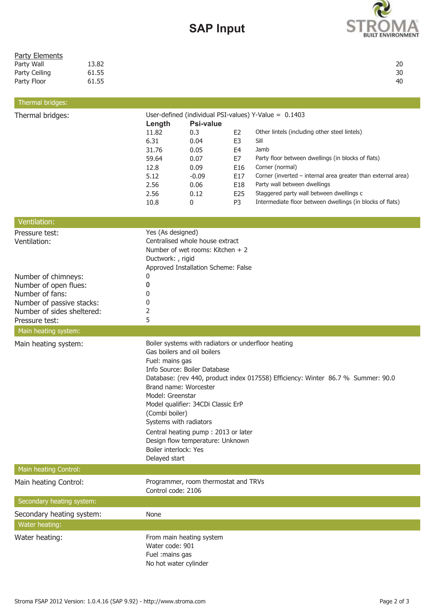# **SAP Input**



| <b>Party Elements</b><br>Party Wall<br>Party Ceiling<br>Party Floor<br>Thermal bridges:                                                                                        | 13.82<br>61.55<br>61.55 |                                                                                                 |                                                                                                                                                                                                                                 |                                                                                                        |                                                                                                                                                                                                                                                                                                                                                 | 20<br>30<br>40 |
|--------------------------------------------------------------------------------------------------------------------------------------------------------------------------------|-------------------------|-------------------------------------------------------------------------------------------------|---------------------------------------------------------------------------------------------------------------------------------------------------------------------------------------------------------------------------------|--------------------------------------------------------------------------------------------------------|-------------------------------------------------------------------------------------------------------------------------------------------------------------------------------------------------------------------------------------------------------------------------------------------------------------------------------------------------|----------------|
| Thermal bridges:                                                                                                                                                               |                         |                                                                                                 |                                                                                                                                                                                                                                 |                                                                                                        | User-defined (individual PSI-values) Y-Value = 0.1403                                                                                                                                                                                                                                                                                           |                |
|                                                                                                                                                                                |                         | Length<br>11.82<br>6.31<br>31.76<br>59.64<br>12.8<br>5.12<br>2.56<br>2.56<br>10.8               | <b>Psi-value</b><br>0.3<br>0.04<br>0.05<br>0.07<br>0.09<br>$-0.09$<br>0.06<br>0.12<br>0                                                                                                                                         | E <sub>2</sub><br>E <sub>3</sub><br>E <sub>4</sub><br>E7<br>E16<br>E17<br>E18<br>E25<br>P <sub>3</sub> | Other lintels (including other steel lintels)<br>Sill<br>Jamb<br>Party floor between dwellings (in blocks of flats)<br>Corner (normal)<br>Corner (inverted - internal area greater than external area)<br>Party wall between dwellings<br>Staggered party wall between dwellings c<br>Intermediate floor between dwellings (in blocks of flats) |                |
| Ventilation:                                                                                                                                                                   |                         |                                                                                                 |                                                                                                                                                                                                                                 |                                                                                                        |                                                                                                                                                                                                                                                                                                                                                 |                |
| Pressure test:<br>Ventilation:<br>Number of chimneys:<br>Number of open flues:<br>Number of fans:<br>Number of passive stacks:<br>Number of sides sheltered:<br>Pressure test: |                         | Yes (As designed)<br>Ductwork: , rigid<br>0<br>0<br>0<br>0<br>2<br>5                            | Centralised whole house extract<br>Number of wet rooms: Kitchen + 2<br>Approved Installation Scheme: False                                                                                                                      |                                                                                                        |                                                                                                                                                                                                                                                                                                                                                 |                |
| Main heating system:                                                                                                                                                           |                         |                                                                                                 |                                                                                                                                                                                                                                 |                                                                                                        |                                                                                                                                                                                                                                                                                                                                                 |                |
| Main heating system:                                                                                                                                                           |                         | Fuel: mains gas<br>Model: Greenstar<br>(Combi boiler)<br>Boiler interlock: Yes<br>Delayed start | Gas boilers and oil boilers<br>Info Source: Boiler Database<br>Brand name: Worcester<br>Model qualifier: 34CDi Classic ErP<br>Systems with radiators<br>Central heating pump: 2013 or later<br>Design flow temperature: Unknown |                                                                                                        | Boiler systems with radiators or underfloor heating<br>Database: (rev 440, product index 017558) Efficiency: Winter 86.7 % Summer: 90.0                                                                                                                                                                                                         |                |
| Main heating Control:                                                                                                                                                          |                         |                                                                                                 |                                                                                                                                                                                                                                 |                                                                                                        |                                                                                                                                                                                                                                                                                                                                                 |                |
| Main heating Control:                                                                                                                                                          |                         | Control code: 2106                                                                              | Programmer, room thermostat and TRVs                                                                                                                                                                                            |                                                                                                        |                                                                                                                                                                                                                                                                                                                                                 |                |
| Secondary heating system:                                                                                                                                                      |                         |                                                                                                 |                                                                                                                                                                                                                                 |                                                                                                        |                                                                                                                                                                                                                                                                                                                                                 |                |
| Secondary heating system:                                                                                                                                                      |                         | None                                                                                            |                                                                                                                                                                                                                                 |                                                                                                        |                                                                                                                                                                                                                                                                                                                                                 |                |
| Water heating:                                                                                                                                                                 |                         |                                                                                                 |                                                                                                                                                                                                                                 |                                                                                                        |                                                                                                                                                                                                                                                                                                                                                 |                |
| Water heating:                                                                                                                                                                 |                         | Water code: 901<br>Fuel :mains gas<br>No hot water cylinder                                     | From main heating system                                                                                                                                                                                                        |                                                                                                        |                                                                                                                                                                                                                                                                                                                                                 |                |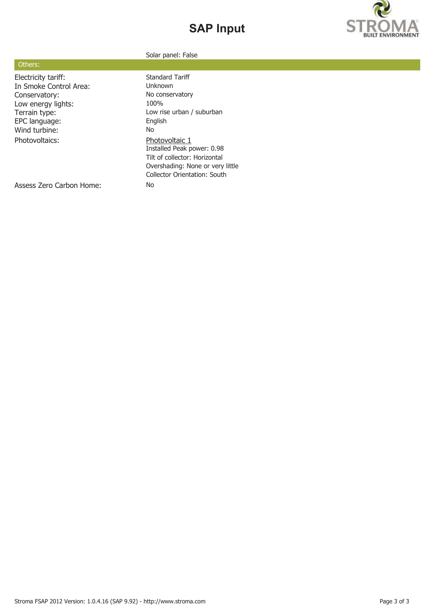# **SAP Input**



#### Solar panel: False

|  | Others: |
|--|---------|
|  |         |

Electricity tariff: Standard Tariff In Smoke Control Area: Unknown Conservatory: No conservatory<br>
Low energy lights: 100% Low energy lights: EPC language: English Wind turbine: No Photovoltaics: Photovoltaic 1

Terrain type: Low rise urban / suburban Installed Peak power: 0.98 Tilt of collector: Horizontal Overshading: None or very little Collector Orientation: South

Assess Zero Carbon Home: No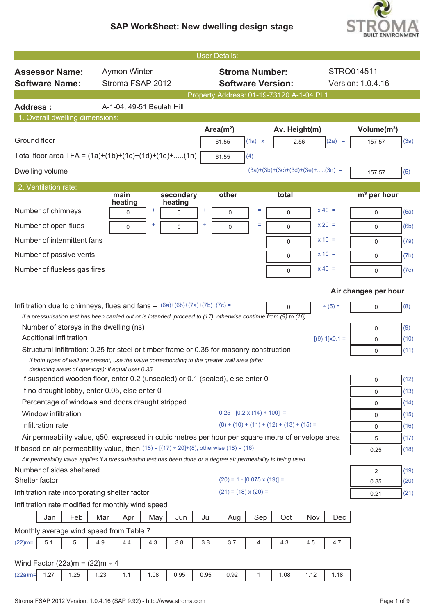

|                                                                                                                                                    |      |                           |       |                      | <b>User Details:</b> |                                            |              |               |                                   |                        |                                   |              |
|----------------------------------------------------------------------------------------------------------------------------------------------------|------|---------------------------|-------|----------------------|----------------------|--------------------------------------------|--------------|---------------|-----------------------------------|------------------------|-----------------------------------|--------------|
| <b>Assessor Name:</b>                                                                                                                              |      | <b>Aymon Winter</b>       |       |                      |                      | <b>Stroma Number:</b>                      |              |               |                                   |                        | STRO014511                        |              |
| <b>Software Name:</b>                                                                                                                              |      | Stroma FSAP 2012          |       |                      |                      | <b>Software Version:</b>                   |              |               |                                   |                        | Version: 1.0.4.16                 |              |
|                                                                                                                                                    |      |                           |       |                      |                      | Property Address: 01-19-73120 A-1-04 PL1   |              |               |                                   |                        |                                   |              |
| <b>Address:</b>                                                                                                                                    |      | A-1-04, 49-51 Beulah Hill |       |                      |                      |                                            |              |               |                                   |                        |                                   |              |
| 1. Overall dwelling dimensions:                                                                                                                    |      |                           |       |                      |                      |                                            |              |               |                                   |                        |                                   |              |
| Ground floor                                                                                                                                       |      |                           |       |                      |                      | Area( $m2$ )<br>61.55                      | (1a) x       | Av. Height(m) | 2.56                              | $(2a) =$               | Volume(m <sup>3</sup> )<br>157.57 | (3a)         |
| Total floor area TFA = $(1a)+(1b)+(1c)+(1d)+(1e)+(1n)$                                                                                             |      |                           |       |                      |                      | 61.55                                      | (4)          |               |                                   |                        |                                   |              |
| Dwelling volume                                                                                                                                    |      |                           |       |                      |                      |                                            |              |               | $(3a)+(3b)+(3c)+(3d)+(3e)+(3n)$ = |                        | 157.57                            | (5)          |
| 2. Ventilation rate:                                                                                                                               |      |                           |       |                      |                      |                                            |              |               |                                   |                        |                                   |              |
|                                                                                                                                                    | main | heating                   |       | secondary<br>heating |                      | other                                      |              | total         |                                   |                        | m <sup>3</sup> per hour           |              |
| Number of chimneys                                                                                                                                 |      | 0                         | $\pm$ | $\mathbf 0$          | $\ddot{}$            | 0                                          | $=$          | 0             |                                   | $x 40 =$               | 0                                 | (6a)         |
| Number of open flues                                                                                                                               |      | 0                         |       | $\mathbf 0$          | 4                    | 0                                          | $=$          | $\mathbf 0$   |                                   | $x 20 =$               | 0                                 | (6b)         |
| Number of intermittent fans                                                                                                                        |      |                           |       |                      |                      |                                            |              | $\mathbf 0$   |                                   | $x = 10 =$             | 0                                 | (7a)         |
| Number of passive vents                                                                                                                            |      |                           |       |                      |                      |                                            |              | $\mathbf 0$   |                                   | $x = 10 =$             | 0                                 | (7b)         |
| Number of flueless gas fires                                                                                                                       |      |                           |       |                      |                      |                                            |              | $\mathbf 0$   |                                   | $x 40 =$               | 0                                 | (7c)         |
|                                                                                                                                                    |      |                           |       |                      |                      |                                            |              |               |                                   |                        | Air changes per hour              |              |
| Infiltration due to chimneys, flues and fans = $(6a)+(6b)+(7a)+(7b)+(7c) =$                                                                        |      |                           |       |                      |                      |                                            |              | $\mathbf 0$   |                                   | $+ (5) =$              | 0                                 | (8)          |
| If a pressurisation test has been carried out or is intended, proceed to (17), otherwise continue from $(9)$ to (16)                               |      |                           |       |                      |                      |                                            |              |               |                                   |                        |                                   |              |
| Number of storeys in the dwelling (ns)                                                                                                             |      |                           |       |                      |                      |                                            |              |               |                                   |                        | 0                                 | (9)          |
| Additional infiltration                                                                                                                            |      |                           |       |                      |                      |                                            |              |               |                                   | $[(9)-1] \times 0.1 =$ | 0                                 | (10)         |
| Structural infiltration: 0.25 for steel or timber frame or 0.35 for masonry construction                                                           |      |                           |       |                      |                      |                                            |              |               |                                   |                        | 0                                 | (11)         |
| if both types of wall are present, use the value corresponding to the greater wall area (after<br>deducting areas of openings); if equal user 0.35 |      |                           |       |                      |                      |                                            |              |               |                                   |                        |                                   |              |
| If suspended wooden floor, enter 0.2 (unsealed) or 0.1 (sealed), else enter 0                                                                      |      |                           |       |                      |                      |                                            |              |               |                                   |                        | $\mathsf{O}$                      | (12)         |
| If no draught lobby, enter 0.05, else enter 0                                                                                                      |      |                           |       |                      |                      |                                            |              |               |                                   |                        | 0                                 | (13)         |
| Percentage of windows and doors draught stripped                                                                                                   |      |                           |       |                      |                      |                                            |              |               |                                   |                        | 0                                 | (14)         |
| Window infiltration                                                                                                                                |      |                           |       |                      |                      | $0.25 - [0.2 \times (14) \div 100] =$      |              |               |                                   |                        | 0                                 | (15)         |
| Infiltration rate                                                                                                                                  |      |                           |       |                      |                      | $(8) + (10) + (11) + (12) + (13) + (15) =$ |              |               |                                   |                        | 0                                 | (16)         |
| Air permeability value, q50, expressed in cubic metres per hour per square metre of envelope area                                                  |      |                           |       |                      |                      |                                            |              |               |                                   |                        | 5                                 | (17)         |
| If based on air permeability value, then $(18) = [(17) \div 20] + (8)$ , otherwise $(18) = (16)$                                                   |      |                           |       |                      |                      |                                            |              |               |                                   |                        | 0.25                              | (18)         |
| Air permeability value applies if a pressurisation test has been done or a degree air permeability is being used<br>Number of sides sheltered      |      |                           |       |                      |                      |                                            |              |               |                                   |                        |                                   |              |
| Shelter factor                                                                                                                                     |      |                           |       |                      |                      | $(20) = 1 - [0.075 \times (19)] =$         |              |               |                                   |                        | $\overline{2}$<br>0.85            | (19)<br>(20) |
| Infiltration rate incorporating shelter factor                                                                                                     |      |                           |       |                      |                      | $(21) = (18) \times (20) =$                |              |               |                                   |                        | 0.21                              | (21)         |
| Infiltration rate modified for monthly wind speed                                                                                                  |      |                           |       |                      |                      |                                            |              |               |                                   |                        |                                   |              |
| Feb<br>Jan                                                                                                                                         | Mar  | Apr                       | May   | Jun                  | Jul                  | Aug                                        | Sep          | Oct           | Nov                               | Dec                    |                                   |              |
| Monthly average wind speed from Table 7                                                                                                            |      |                           |       |                      |                      |                                            |              |               |                                   |                        |                                   |              |
| 5<br>$(22)$ m=<br>5.1                                                                                                                              | 4.9  | 4.4                       | 4.3   | 3.8                  | 3.8                  | 3.7                                        | 4            | 4.3           | 4.5                               | 4.7                    |                                   |              |
|                                                                                                                                                    |      |                           |       |                      |                      |                                            |              |               |                                   |                        |                                   |              |
| Wind Factor (22a)m = $(22)$ m ÷ 4<br>1.27<br>1.25<br>$(22a)m=$                                                                                     | 1.23 | 1.1                       | 1.08  | 0.95                 | 0.95                 | 0.92                                       | $\mathbf{1}$ | 1.08          | 1.12                              | 1.18                   |                                   |              |
|                                                                                                                                                    |      |                           |       |                      |                      |                                            |              |               |                                   |                        |                                   |              |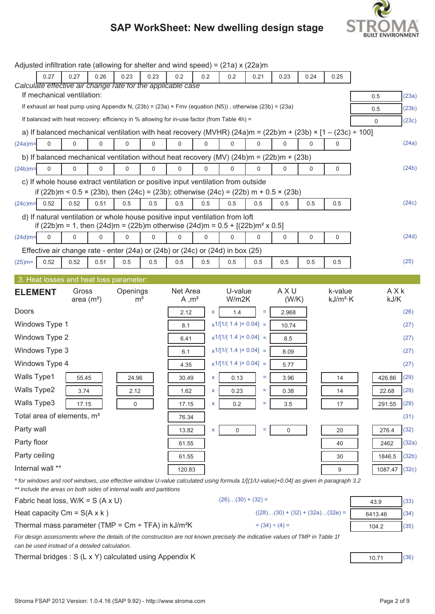

|                |                  |                                                                                |      | Adjusted infiltration rate (allowing for shelter and wind speed) = $(21a)$ x $(22a)$ m                  |             |                               |          |                         |          |                                   |             |                                                                                                                                      |                 |              |
|----------------|------------------|--------------------------------------------------------------------------------|------|---------------------------------------------------------------------------------------------------------|-------------|-------------------------------|----------|-------------------------|----------|-----------------------------------|-------------|--------------------------------------------------------------------------------------------------------------------------------------|-----------------|--------------|
|                | 0.27             | 0.27                                                                           | 0.26 | 0.23                                                                                                    | 0.23        | 0.2                           | 0.2      | 0.2                     | 0.21     | 0.23                              | 0.24        | 0.25                                                                                                                                 |                 |              |
|                |                  | If mechanical ventilation:                                                     |      | Calculate effective air change rate for the applicable case                                             |             |                               |          |                         |          |                                   |             |                                                                                                                                      | 0.5             | (23a)        |
|                |                  |                                                                                |      | If exhaust air heat pump using Appendix N, (23b) = (23a) × Fmv (equation (N5)), otherwise (23b) = (23a) |             |                               |          |                         |          |                                   |             |                                                                                                                                      | 0.5             | (23b)        |
|                |                  |                                                                                |      | If balanced with heat recovery: efficiency in % allowing for in-use factor (from Table 4h) =            |             |                               |          |                         |          |                                   |             |                                                                                                                                      | $\Omega$        | (23c)        |
|                |                  |                                                                                |      |                                                                                                         |             |                               |          |                         |          |                                   |             | a) If balanced mechanical ventilation with heat recovery (MVHR) $(24a)$ m = $(22b)$ m + $(23b) \times [1 - (23c) \div 100]$          |                 |              |
| $(24a)m =$     | $\mathbf 0$      | $\mathbf 0$                                                                    | 0    | 0                                                                                                       | $\mathbf 0$ | $\Omega$                      | $\Omega$ | $\Omega$                | $\Omega$ | $\Omega$                          | $\Omega$    | $\Omega$                                                                                                                             |                 | (24a)        |
|                |                  |                                                                                |      | b) If balanced mechanical ventilation without heat recovery (MV) $(24b)$ m = $(22b)$ m + $(23b)$        |             |                               |          |                         |          |                                   |             |                                                                                                                                      |                 |              |
| $(24b)m=$      | $\mathbf 0$      | $\pmb{0}$                                                                      | 0    | 0                                                                                                       | $\Omega$    | $\mathbf 0$                   | 0        | 0                       | $\Omega$ | 0                                 | $\mathbf 0$ | 0                                                                                                                                    |                 | (24b)        |
|                |                  |                                                                                |      | c) If whole house extract ventilation or positive input ventilation from outside                        |             |                               |          |                         |          |                                   |             |                                                                                                                                      |                 |              |
|                |                  |                                                                                |      | if $(22b)$ m < 0.5 × $(23b)$ , then $(24c)$ = $(23b)$ ; otherwise $(24c)$ = $(22b)$ m + 0.5 × $(23b)$   |             |                               |          |                         |          |                                   |             |                                                                                                                                      |                 |              |
| $(24c)$ m=     | 0.52             | 0.52                                                                           | 0.51 | 0.5                                                                                                     | 0.5         | 0.5                           | 0.5      | 0.5                     | 0.5      | 0.5                               | 0.5         | 0.5                                                                                                                                  |                 | (24c)        |
|                |                  |                                                                                |      | d) If natural ventilation or whole house positive input ventilation from loft                           |             |                               |          |                         |          |                                   |             |                                                                                                                                      |                 |              |
|                | $\Omega$         | 0                                                                              | 0    | if (22b)m = 1, then (24d)m = (22b)m otherwise (24d)m = $0.5 + [(22b)m2 \times 0.5]$<br>$\mathbf 0$      | $\mathbf 0$ | 0                             | 0        | 0                       | 0        |                                   |             |                                                                                                                                      |                 | (24d)        |
| $(24d)$ m=     |                  |                                                                                |      |                                                                                                         |             |                               |          |                         |          | 0                                 | 0           | 0                                                                                                                                    |                 |              |
| $(25)$ m=      | 0.52             | 0.52                                                                           | 0.51 | Effective air change rate - enter (24a) or (24b) or (24c) or (24d) in box (25)<br>0.5                   | 0.5         | 0.5                           | 0.5      | 0.5                     | 0.5      | 0.5                               | 0.5         | 0.5                                                                                                                                  |                 | (25)         |
|                |                  |                                                                                |      |                                                                                                         |             |                               |          |                         |          |                                   |             |                                                                                                                                      |                 |              |
|                |                  |                                                                                |      | 3. Heat losses and heat loss parameter:                                                                 |             |                               |          |                         |          |                                   |             |                                                                                                                                      |                 |              |
| <b>ELEMENT</b> |                  | Gross<br>area $(m2)$                                                           |      | Openings<br>m <sup>2</sup>                                                                              |             | Net Area<br>A, m <sup>2</sup> |          | U-value<br>W/m2K        |          | AXU<br>(W/K)                      |             | k-value<br>$kJ/m^2$ ·K                                                                                                               | AXK<br>kJ/K     |              |
| Doors          |                  |                                                                                |      |                                                                                                         |             | 2.12                          | <b>X</b> | 1.4                     | $\equiv$ | 2.968                             |             |                                                                                                                                      |                 | (26)         |
|                | Windows Type 1   |                                                                                |      |                                                                                                         |             | 8.1                           |          | $x1/[1/(1.4) + 0.04] =$ |          |                                   |             |                                                                                                                                      |                 | (27)         |
| Windows Type 2 |                  |                                                                                |      |                                                                                                         |             |                               |          |                         |          |                                   |             |                                                                                                                                      |                 |              |
|                |                  |                                                                                |      |                                                                                                         |             |                               |          |                         |          | 10.74                             |             |                                                                                                                                      |                 |              |
|                |                  |                                                                                |      |                                                                                                         |             | 6.41                          |          | $x1/[1/(1.4) + 0.04] =$ |          | 8.5                               |             |                                                                                                                                      |                 | (27)         |
|                | Windows Type 3   |                                                                                |      |                                                                                                         |             | 6.1                           |          | $x1/[1/(1.4) + 0.04] =$ |          | 8.09                              |             |                                                                                                                                      |                 | (27)         |
|                | Windows Type 4   |                                                                                |      |                                                                                                         |             | 4.35                          |          | $x1/[1/(1.4) + 0.04] =$ |          | 5.77                              |             |                                                                                                                                      |                 | (27)         |
| Walls Type1    |                  | 55.45                                                                          |      | 24.96                                                                                                   |             | 30.49                         | X        | 0.13                    | Ξ        | 3.96                              |             | 14                                                                                                                                   | 426.86          | (29)         |
| Walls Type2    |                  | 3.74                                                                           |      | 2.12                                                                                                    |             | 1.62                          | X        | 0.23                    | Ξ        | 0.38                              |             | 14                                                                                                                                   | 22.68           | (29)         |
| Walls Type3    |                  | 17.15                                                                          |      | 0                                                                                                       |             | 17.15                         | X        | 0.2                     | Ξ        | 3.5                               |             | 17                                                                                                                                   | 291.55          | (29)         |
|                |                  | Total area of elements, m <sup>2</sup>                                         |      |                                                                                                         |             | 76.34                         |          |                         |          |                                   |             |                                                                                                                                      |                 | (31)         |
| Party wall     |                  |                                                                                |      |                                                                                                         |             | 13.82                         | X        | 0                       | Ξ        | 0                                 |             | 20                                                                                                                                   | 276.4           | (32)         |
| Party floor    |                  |                                                                                |      |                                                                                                         |             | 61.55                         |          |                         |          |                                   |             | 40                                                                                                                                   | 2462            | (32a)        |
| Party ceiling  |                  |                                                                                |      |                                                                                                         |             | 61.55                         |          |                         |          |                                   |             | 30                                                                                                                                   | 1846.5          | (32b)        |
|                | Internal wall ** |                                                                                |      |                                                                                                         |             | 120.83                        |          |                         |          |                                   |             | 9                                                                                                                                    | 1087.47         | (32c)        |
|                |                  |                                                                                |      |                                                                                                         |             |                               |          |                         |          |                                   |             | * for windows and roof windows, use effective window U-value calculated using formula 1/[(1/U-value)+0.04] as given in paragraph 3.2 |                 |              |
|                |                  |                                                                                |      | ** include the areas on both sides of internal walls and partitions                                     |             |                               |          | $(26)(30) + (32) =$     |          |                                   |             |                                                                                                                                      |                 |              |
|                |                  | Fabric heat loss, $W/K = S (A \times U)$<br>Heat capacity $Cm = S(A \times k)$ |      |                                                                                                         |             |                               |          |                         |          | $((28)(30) + (32) + (32a)(32e) =$ |             |                                                                                                                                      | 43.9<br>6413.46 | (33)<br>(34) |

*For design assessments where the details of the construction are not known precisely the indicative values of TMP in Table 1f can be used instead of a detailed calculation.*

Thermal bridges : S (L x Y) calculated using Appendix K  $\sqrt{10.71}$  (36)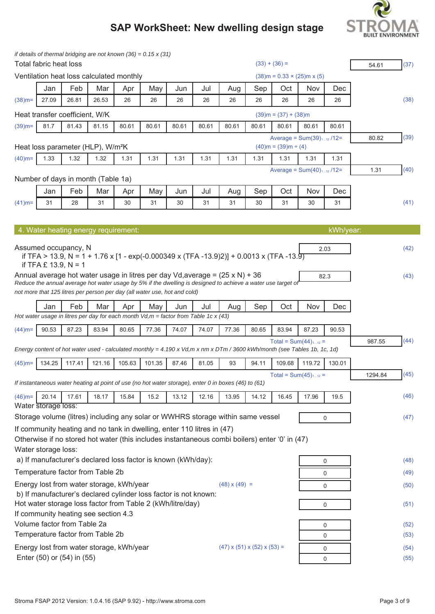

|           | Total fabric heat loss |                                               |        |                                          | if details of thermal bridging are not known $(36) = 0.15 \times (31)$                |       |       |                                                                                                                          |       | $(33) + (36) =$                |        |             | 54.61   | (37) |
|-----------|------------------------|-----------------------------------------------|--------|------------------------------------------|---------------------------------------------------------------------------------------|-------|-------|--------------------------------------------------------------------------------------------------------------------------|-------|--------------------------------|--------|-------------|---------|------|
|           |                        |                                               |        | Ventilation heat loss calculated monthly |                                                                                       |       |       |                                                                                                                          |       | $(38)$ m = 0.33 × (25)m x (5)  |        |             |         |      |
|           | Jan                    | Feb                                           | Mar    | Apr                                      | May                                                                                   | Jun   | Jul   | Aug                                                                                                                      | Sep   | Oct                            | Nov    | Dec         |         |      |
| $(38)$ m= | 27.09                  | 26.81                                         | 26.53  | 26                                       | 26                                                                                    | 26    | 26    | 26                                                                                                                       | 26    | 26                             | 26     | 26          |         | (38) |
|           |                        | Heat transfer coefficient, W/K                |        |                                          |                                                                                       |       |       |                                                                                                                          |       | $(39)$ m = $(37) + (38)$ m     |        |             |         |      |
| $(39)$ m= | 81.7                   | 81.43                                         | 81.15  | 80.61                                    | 80.61                                                                                 | 80.61 | 80.61 | 80.61                                                                                                                    | 80.61 | 80.61                          | 80.61  | 80.61       |         |      |
|           |                        |                                               |        |                                          |                                                                                       |       |       |                                                                                                                          |       | Average = $Sum(39)_{112}$ /12= |        |             | 80.82   | (39) |
|           |                        | Heat loss parameter (HLP), W/m <sup>2</sup> K |        |                                          |                                                                                       |       |       |                                                                                                                          |       | $(40)$ m = $(39)$ m ÷ $(4)$    |        |             |         |      |
| $(40)$ m= | 1.33                   | 1.32                                          | 1.32   | 1.31                                     | 1.31                                                                                  | 1.31  | 1.31  | 1.31                                                                                                                     | 1.31  | 1.31                           | 1.31   | 1.31        |         |      |
|           |                        | Number of days in month (Table 1a)            |        |                                          |                                                                                       |       |       |                                                                                                                          |       | Average = $Sum(40)_{112}$ /12= |        |             | 1.31    | (40) |
|           | Jan                    | Feb                                           | Mar    | Apr                                      | May                                                                                   | Jun   | Jul   | Aug                                                                                                                      | Sep   | Oct                            | Nov    | Dec         |         |      |
| $(41)$ m= | 31                     | 28                                            | 31     | 30                                       | 31                                                                                    | 30    | 31    | 31                                                                                                                       | 30    | 31                             | 30     | 31          |         | (41) |
|           |                        |                                               |        |                                          |                                                                                       |       |       |                                                                                                                          |       |                                |        |             |         |      |
|           |                        |                                               |        | 4. Water heating energy requirement:     |                                                                                       |       |       |                                                                                                                          |       |                                |        | kWh/year:   |         |      |
|           |                        |                                               |        |                                          |                                                                                       |       |       |                                                                                                                          |       |                                |        |             |         |      |
|           |                        | Assumed occupancy, N                          |        |                                          |                                                                                       |       |       | if TFA > 13.9, N = 1 + 1.76 x [1 - exp(-0.000349 x (TFA -13.9)2)] + 0.0013 x (TFA -13.9)                                 |       |                                |        | 2.03        |         | (42) |
|           | if TFA £ 13.9, $N = 1$ |                                               |        |                                          |                                                                                       |       |       | Annual average hot water usage in litres per day Vd, average = $(25 \times N)$ + 36                                      |       |                                |        |             |         |      |
|           |                        |                                               |        |                                          |                                                                                       |       |       | Reduce the annual average hot water usage by 5% if the dwelling is designed to achieve a water use target of             |       |                                |        | 82.3        |         | (43) |
|           |                        |                                               |        |                                          | not more that 125 litres per person per day (all water use, hot and cold)             |       |       |                                                                                                                          |       |                                |        |             |         |      |
|           | Jan                    | Feb                                           | Mar    | Apr                                      | May                                                                                   | Jun   | Jul   | Aug                                                                                                                      | Sep   | Oct                            | Nov    | Dec         |         |      |
|           |                        |                                               |        |                                          | Hot water usage in litres per day for each month $Vd,m =$ factor from Table 1c x (43) |       |       |                                                                                                                          |       |                                |        |             |         |      |
| $(44)$ m= | 90.53                  | 87.23                                         | 83.94  | 80.65                                    | 77.36                                                                                 | 74.07 | 74.07 | 77.36                                                                                                                    | 80.65 | 83.94                          | 87.23  | 90.53       |         |      |
|           |                        |                                               |        |                                          |                                                                                       |       |       | Energy content of hot water used - calculated monthly = 4.190 x Vd,m x nm x DTm / 3600 kWh/month (see Tables 1b, 1c, 1d) |       | Total = $Sum(44)_{112}$ =      |        |             | 987.55  | (44) |
| $(45)$ m= | 134.25                 | 117.41                                        | 121.16 | 105.63                                   | 101.35                                                                                | 87.46 | 81.05 | 93                                                                                                                       | 94.11 | 109.68                         | 119.72 | 130.01      |         |      |
|           |                        |                                               |        |                                          |                                                                                       |       |       |                                                                                                                          |       | Total = $Sum(45)_{112}$ =      |        |             | 1294.84 | (45) |
|           |                        |                                               |        |                                          |                                                                                       |       |       | If instantaneous water heating at point of use (no hot water storage), enter 0 in boxes (46) to (61)                     |       |                                |        |             |         |      |
| $(46)$ m= | 20.14                  | 17.61                                         | 18.17  | 15.84                                    | 15.2                                                                                  | 13.12 | 12.16 | 13.95                                                                                                                    | 14.12 | 16.45                          | 17.96  | 19.5        |         | (46) |
|           | Water storage loss:    |                                               |        |                                          |                                                                                       |       |       | Storage volume (litres) including any solar or WWHRS storage within same vessel                                          |       |                                |        | $\mathbf 0$ |         | (47) |
|           |                        |                                               |        |                                          | If community heating and no tank in dwelling, enter 110 litres in (47)                |       |       |                                                                                                                          |       |                                |        |             |         |      |
|           |                        |                                               |        |                                          |                                                                                       |       |       | Otherwise if no stored hot water (this includes instantaneous combi boilers) enter '0' in (47)                           |       |                                |        |             |         |      |
|           | Water storage loss:    |                                               |        |                                          |                                                                                       |       |       |                                                                                                                          |       |                                |        |             |         |      |
|           |                        |                                               |        |                                          | a) If manufacturer's declared loss factor is known (kWh/day):                         |       |       |                                                                                                                          |       |                                |        | 0           |         | (48) |
|           |                        | Temperature factor from Table 2b              |        |                                          |                                                                                       |       |       |                                                                                                                          |       |                                |        | $\mathbf 0$ |         | (49) |
|           |                        |                                               |        | Energy lost from water storage, kWh/year |                                                                                       |       |       | $(48) \times (49) =$                                                                                                     |       |                                |        | $\mathbf 0$ |         | (50) |
|           |                        |                                               |        |                                          | b) If manufacturer's declared cylinder loss factor is not known:                      |       |       |                                                                                                                          |       |                                |        |             |         |      |
|           |                        | If community heating see section 4.3          |        |                                          | Hot water storage loss factor from Table 2 (kWh/litre/day)                            |       |       |                                                                                                                          |       |                                |        | 0           |         | (51) |
|           |                        | Volume factor from Table 2a                   |        |                                          |                                                                                       |       |       |                                                                                                                          |       |                                |        | $\mathbf 0$ |         | (52) |
|           |                        | Temperature factor from Table 2b              |        |                                          |                                                                                       |       |       |                                                                                                                          |       |                                |        | $\mathbf 0$ |         | (53) |
|           |                        |                                               |        | Energy lost from water storage, kWh/year |                                                                                       |       |       | $(47)$ x $(51)$ x $(52)$ x $(53)$ =                                                                                      |       |                                |        | $\mathbf 0$ |         | (54) |
|           |                        | Enter (50) or (54) in (55)                    |        |                                          |                                                                                       |       |       |                                                                                                                          |       |                                |        | $\mathbf 0$ |         | (55) |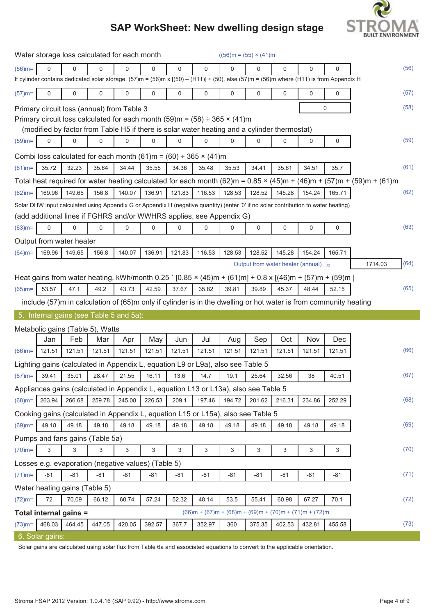

|           |          |                                  |          | Water storage loss calculated for each month                                                                                                             |             |        |             |          | $((56)m = (55) \times (41)m)$ |        |                                                         |             |                                                                                                                         |      |
|-----------|----------|----------------------------------|----------|----------------------------------------------------------------------------------------------------------------------------------------------------------|-------------|--------|-------------|----------|-------------------------------|--------|---------------------------------------------------------|-------------|-------------------------------------------------------------------------------------------------------------------------|------|
| $(56)$ m= | $\Omega$ | $\Omega$                         | $\Omega$ | $\mathbf{0}$                                                                                                                                             | 0           | 0      | $\mathbf 0$ | $\Omega$ | $\Omega$                      | 0      | 0                                                       | $\mathbf 0$ |                                                                                                                         | (56) |
|           |          |                                  |          | If cylinder contains dedicated solar storage, $(57)$ m = $(56)$ m x $[(50) - (H11)] + (50)$ , else $(57)$ m = $(56)$ m where $(H11)$ is from Appendix H  |             |        |             |          |                               |        |                                                         |             |                                                                                                                         |      |
| $(57)$ m= | 0        | 0                                | 0        | $\mathbf 0$                                                                                                                                              | $\mathbf 0$ | 0      | 0           | 0        | 0                             | 0      | $\mathbf 0$                                             | 0           |                                                                                                                         | (57) |
|           |          |                                  |          | Primary circuit loss (annual) from Table 3                                                                                                               |             |        |             |          |                               |        |                                                         | $\mathbf 0$ |                                                                                                                         | (58) |
|           |          |                                  |          | Primary circuit loss calculated for each month $(59)$ m = $(58) \div 365 \times (41)$ m                                                                  |             |        |             |          |                               |        |                                                         |             |                                                                                                                         |      |
|           |          |                                  |          | (modified by factor from Table H5 if there is solar water heating and a cylinder thermostat)                                                             |             |        |             |          |                               |        |                                                         |             |                                                                                                                         |      |
| $(59)$ m= | 0        | 0                                | 0        | $\mathbf 0$                                                                                                                                              | 0           | 0      | 0           | 0        | 0                             | 0      | 0                                                       | 0           |                                                                                                                         | (59) |
|           |          |                                  |          | Combi loss calculated for each month $(61)$ m = $(60) \div 365 \times (41)$ m                                                                            |             |        |             |          |                               |        |                                                         |             |                                                                                                                         |      |
| $(61)$ m= | 35.72    | 32.23                            | 35.64    | 34.44                                                                                                                                                    | 35.55       | 34.36  | 35.48       | 35.53    | 34.41                         | 35.61  | 34.51                                                   | 35.7        |                                                                                                                         | (61) |
|           |          |                                  |          |                                                                                                                                                          |             |        |             |          |                               |        |                                                         |             | Total heat required for water heating calculated for each month $(62)$ m = 0.85 × (45)m + (46)m + (57)m + (59)m + (61)m |      |
| $(62)$ m= | 169.96   | 149.65                           | 156.8    | 140.07                                                                                                                                                   | 136.91      | 121.83 | 116.53      | 128.53   | 128.52                        | 145.28 | 154.24                                                  | 165.71      |                                                                                                                         | (62) |
|           |          |                                  |          | Solar DHW input calculated using Appendix G or Appendix H (negative quantity) (enter '0' if no solar contribution to water heating)                      |             |        |             |          |                               |        |                                                         |             |                                                                                                                         |      |
|           |          |                                  |          | (add additional lines if FGHRS and/or WWHRS applies, see Appendix G)                                                                                     |             |        |             |          |                               |        |                                                         |             |                                                                                                                         |      |
| $(63)$ m= | 0        | 0                                | 0        | $\mathbf 0$                                                                                                                                              | 0           | 0      | 0           | 0        | 0                             | 0      | 0                                                       | 0           |                                                                                                                         | (63) |
|           |          | Output from water heater         |          |                                                                                                                                                          |             |        |             |          |                               |        |                                                         |             |                                                                                                                         |      |
| $(64)$ m= | 169.96   | 149.65                           | 156.8    | 140.07                                                                                                                                                   | 136.91      | 121.83 | 116.53      | 128.53   | 128.52                        | 145.28 | 154.24                                                  | 165.71      |                                                                                                                         |      |
|           |          |                                  |          |                                                                                                                                                          |             |        |             |          |                               |        | Output from water heater (annual) <sub>112</sub>        |             | 1714.03                                                                                                                 | (64) |
|           |          |                                  |          | Heat gains from water heating, kWh/month 0.25 $(0.85 \times (45) \text{m} + (61) \text{m}) + 0.8 \times [(46) \text{m} + (57) \text{m} + (59) \text{m}]$ |             |        |             |          |                               |        |                                                         |             |                                                                                                                         |      |
| $(65)$ m= | 53.57    | 47.1                             | 49.2     | 43.73                                                                                                                                                    | 42.59       | 37.67  | 35.82       | 39.81    | 39.89                         | 45.37  | 48.44                                                   | 52.15       |                                                                                                                         | (65) |
|           |          |                                  |          | include (57)m in calculation of (65)m only if cylinder is in the dwelling or hot water is from community heating                                         |             |        |             |          |                               |        |                                                         |             |                                                                                                                         |      |
|           |          |                                  |          | 5. Internal gains (see Table 5 and 5a):                                                                                                                  |             |        |             |          |                               |        |                                                         |             |                                                                                                                         |      |
|           |          | Metabolic gains (Table 5), Watts |          |                                                                                                                                                          |             |        |             |          |                               |        |                                                         |             |                                                                                                                         |      |
|           | Jan      | Feb                              | Mar      | Apr                                                                                                                                                      |             |        |             |          |                               |        |                                                         |             |                                                                                                                         |      |
| $(66)$ m= | 121.51   | 121.51                           |          |                                                                                                                                                          | May         | Jun    | Jul         | Aug      | Sep                           | Oct    | Nov                                                     | Dec         |                                                                                                                         |      |
|           |          |                                  | 121.51   | 121.51                                                                                                                                                   | 121.51      | 121.51 | 121.51      | 121.51   | 121.51                        | 121.51 | 121.51                                                  | 121.51      |                                                                                                                         | (66) |
| $(67)$ m= |          |                                  |          | Lighting gains (calculated in Appendix L, equation L9 or L9a), also see Table 5                                                                          |             |        |             |          |                               |        |                                                         |             |                                                                                                                         |      |
|           | 39.41    | 35.01                            | 28.47    | 21.55                                                                                                                                                    | 16.11       | 13.6   | 14.7        | 19.1     | 25.64                         | 32.56  | 38                                                      | 40.51       |                                                                                                                         | (67) |
|           |          |                                  |          | Appliances gains (calculated in Appendix L, equation L13 or L13a), also see Table 5                                                                      |             |        |             |          |                               |        |                                                         |             |                                                                                                                         |      |
| $(68)$ m= | 263.94   | 266.68                           | 259.78   | 245.08                                                                                                                                                   | 226.53      | 209.1  | 197.46      | 194.72   | 201.62                        | 216.31 | 234.86                                                  | 252.29      |                                                                                                                         | (68) |
|           |          |                                  |          | Cooking gains (calculated in Appendix L, equation L15 or L15a), also see Table 5                                                                         |             |        |             |          |                               |        |                                                         |             |                                                                                                                         |      |
| $(69)$ m= | 49.18    | 49.18                            | 49.18    | 49.18                                                                                                                                                    | 49.18       | 49.18  | 49.18       | 49.18    | 49.18                         | 49.18  | 49.18                                                   | 49.18       |                                                                                                                         | (69) |
|           |          | Pumps and fans gains (Table 5a)  |          |                                                                                                                                                          |             |        |             |          |                               |        |                                                         |             |                                                                                                                         |      |
| $(70)$ m= | 3        | 3                                | 3        | 3                                                                                                                                                        | 3           | 3      | 3           | 3        | 3                             | 3      | 3                                                       | 3           |                                                                                                                         | (70) |
|           |          |                                  |          | Losses e.g. evaporation (negative values) (Table 5)                                                                                                      |             |        |             |          |                               |        |                                                         |             |                                                                                                                         |      |
| $(71)$ m= | $-81$    | $-81$                            | $-81$    | $-81$                                                                                                                                                    | $-81$       | $-81$  | $-81$       | $-81$    | $-81$                         | $-81$  | $-81$                                                   | $-81$       |                                                                                                                         | (71) |
|           |          | Water heating gains (Table 5)    |          |                                                                                                                                                          |             |        |             |          |                               |        |                                                         |             |                                                                                                                         |      |
| $(72)$ m= | 72       | 70.09                            | 66.12    | 60.74                                                                                                                                                    | 57.24       | 52.32  | 48.14       | 53.5     | 55.41                         | 60.98  | 67.27                                                   | 70.1        |                                                                                                                         | (72) |
|           |          | Total internal gains =           |          |                                                                                                                                                          |             |        |             |          |                               |        | $(66)m + (67)m + (68)m + (69)m + (70)m + (71)m + (72)m$ |             |                                                                                                                         |      |
| $(73)$ m= | 468.03   | 464.45                           | 447.05   | 420.05                                                                                                                                                   | 392.57      | 367.7  | 352.97      | 360      | 375.35                        | 402.53 | 432.81                                                  | 455.58      |                                                                                                                         | (73) |

Solar gains are calculated using solar flux from Table 6a and associated equations to convert to the applicable orientation.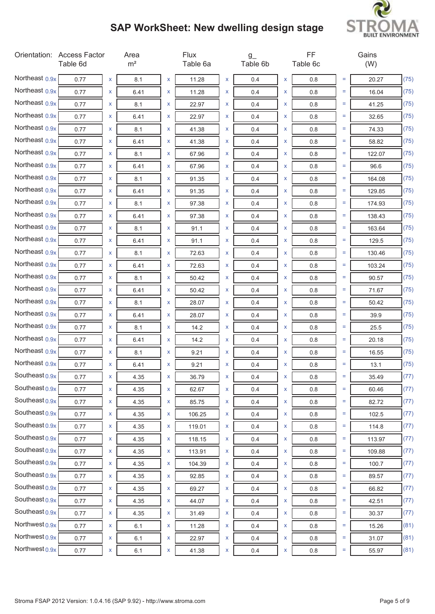

|                           | Orientation: Access Factor<br>Table 6d |                    | Area<br>m <sup>2</sup> |   | <b>Flux</b><br>Table 6a |   | $g_{-}$<br>Table 6b |                    | FF<br>Table 6c |     | Gains<br>(W) |      |
|---------------------------|----------------------------------------|--------------------|------------------------|---|-------------------------|---|---------------------|--------------------|----------------|-----|--------------|------|
| Northeast $0.9x$          | 0.77                                   | X                  | 8.1                    | x | 11.28                   | X | 0.4                 | X                  | 0.8            | Ξ   | 20.27        | (75) |
| Northeast 0.9x            | 0.77                                   | X                  | 6.41                   | x | 11.28                   | X | 0.4                 | X                  | 0.8            | $=$ | 16.04        | (75) |
| Northeast 0.9x            | 0.77                                   | X                  | 8.1                    | x | 22.97                   | X | 0.4                 | x                  | 0.8            | Ξ   | 41.25        | (75) |
| Northeast 0.9x            | 0.77                                   | X                  | 6.41                   | x | 22.97                   | X | 0.4                 | X                  | 0.8            | Ξ   | 32.65        | (75) |
| Northeast 0.9x            | 0.77                                   | X                  | 8.1                    | X | 41.38                   | X | 0.4                 | x                  | 0.8            | Ξ   | 74.33        | (75) |
| Northeast 0.9x            | 0.77                                   | x                  | 6.41                   | x | 41.38                   | X | 0.4                 | X                  | 0.8            | $=$ | 58.82        | (75) |
| Northeast 0.9x            | 0.77                                   | X                  | 8.1                    | X | 67.96                   | X | 0.4                 | X                  | 0.8            | Ξ   | 122.07       | (75) |
| Northeast 0.9x            | 0.77                                   | X                  | 6.41                   | x | 67.96                   | X | 0.4                 | X                  | 0.8            | $=$ | 96.6         | (75) |
| Northeast 0.9x            | 0.77                                   | X                  | 8.1                    | x | 91.35                   | X | 0.4                 | X                  | 0.8            | Ξ   | 164.08       | (75) |
| Northeast 0.9x            | 0.77                                   | X                  | 6.41                   | x | 91.35                   | X | 0.4                 | X                  | 0.8            | Ξ   | 129.85       | (75) |
| Northeast 0.9x            | 0.77                                   | X                  | 8.1                    | X | 97.38                   | X | 0.4                 | x                  | 0.8            | $=$ | 174.93       | (75) |
| Northeast 0.9x            | 0.77                                   | x                  | 6.41                   | x | 97.38                   | X | 0.4                 | X                  | 0.8            | $=$ | 138.43       | (75) |
| Northeast 0.9x            | 0.77                                   | X                  | 8.1                    | x | 91.1                    | X | 0.4                 | X                  | 0.8            | Ξ   | 163.64       | (75) |
| Northeast 0.9x            | 0.77                                   | X                  | 6.41                   | x | 91.1                    | X | 0.4                 | X                  | 0.8            | $=$ | 129.5        | (75) |
| Northeast 0.9x            | 0.77                                   | X                  | 8.1                    | x | 72.63                   | X | 0.4                 | X                  | 0.8            | Ξ   | 130.46       | (75) |
| Northeast 0.9x            | 0.77                                   | X                  | 6.41                   | x | 72.63                   | X | 0.4                 | X                  | 0.8            | Ξ   | 103.24       | (75) |
| Northeast 0.9x            | 0.77                                   | X                  | 8.1                    | X | 50.42                   | X | 0.4                 | x                  | 0.8            | Ξ   | 90.57        | (75) |
| Northeast 0.9x            | 0.77                                   | x                  | 6.41                   | X | 50.42                   | X | 0.4                 | X                  | 0.8            | $=$ | 71.67        | (75) |
| Northeast 0.9x            | 0.77                                   | X                  | 8.1                    | X | 28.07                   | X | 0.4                 | X                  | 0.8            | Ξ   | 50.42        | (75) |
| Northeast 0.9x            | 0.77                                   | X                  | 6.41                   | x | 28.07                   | X | 0.4                 | X                  | 0.8            | $=$ | 39.9         | (75) |
| Northeast 0.9x            | 0.77                                   | X                  | 8.1                    | x | 14.2                    | X | 0.4                 | X                  | 0.8            | $=$ | 25.5         | (75) |
| Northeast 0.9x            | 0.77                                   | X                  | 6.41                   | x | 14.2                    | X | 0.4                 | X                  | 0.8            | Ξ   | 20.18        | (75) |
| Northeast 0.9x            | 0.77                                   | X                  | 8.1                    | X | 9.21                    | X | 0.4                 | x                  | 0.8            | $=$ | 16.55        | (75) |
| Northeast 0.9x            | 0.77                                   | x                  | 6.41                   | x | 9.21                    | x | 0.4                 | X                  | 0.8            | Ξ   | 13.1         | (75) |
| Southeast $0.9x$          | 0.77                                   | x                  | 4.35                   | x | 36.79                   | x | 0.4                 | x                  | 0.8            | Ξ   | 35.49        | (77) |
| Southeast $0.9x$          | 0.77                                   | X                  | 4.35                   | X | 62.67                   | X | 0.4                 | $\pmb{\mathsf{X}}$ | 0.8            | $=$ | 60.46        | (77) |
| Southeast $0.9x$          | 0.77                                   | $\pmb{\mathsf{X}}$ | 4.35                   | X | 85.75                   | X | 0.4                 | X                  | $0.8\,$        | $=$ | 82.72        | (77) |
| Southeast $0.9x$          | 0.77                                   | X                  | 4.35                   | X | 106.25                  | X | 0.4                 | X                  | 0.8            | Ξ   | 102.5        | (77) |
| Southeast $0.9x$          | 0.77                                   | X                  | 4.35                   | X | 119.01                  | X | 0.4                 | X                  | 0.8            | $=$ | 114.8        | (77) |
| Southeast $0.9x$          | 0.77                                   | X                  | 4.35                   | X | 118.15                  | X | 0.4                 | X                  | 0.8            | Ξ   | 113.97       | (77) |
| Southeast $0.9x$          | 0.77                                   | X                  | 4.35                   | X | 113.91                  | X | 0.4                 | X                  | 0.8            | Ξ   | 109.88       | (77) |
| Southeast $0.9x$          | 0.77                                   | X                  | 4.35                   | X | 104.39                  | X | 0.4                 | $\mathsf X$        | 0.8            | $=$ | 100.7        | (77) |
| Southeast $0.9x$          | 0.77                                   | X                  | 4.35                   | X | 92.85                   | X | 0.4                 | X                  | $0.8\,$        | Ξ   | 89.57        | (77) |
| Southeast $0.9x$          | 0.77                                   | X                  | 4.35                   | X | 69.27                   | X | 0.4                 | X                  | 0.8            | Ξ   | 66.82        | (77) |
| Southeast $0.9x$          | 0.77                                   | X                  | 4.35                   | X | 44.07                   | X | 0.4                 | X                  | 0.8            | $=$ | 42.51        | (77) |
| Southeast $0.9x$          | 0.77                                   | X                  | 4.35                   | X | 31.49                   | X | 0.4                 | X                  | 0.8            | Ξ   | 30.37        | (77) |
| Northwest $_{0.9x}$       | 0.77                                   | X                  | 6.1                    | X | 11.28                   | X | 0.4                 | X                  | 0.8            | Ξ   | 15.26        | (81) |
| Northwest <sub>0.9x</sub> | 0.77                                   | X                  | 6.1                    | X | 22.97                   | X | 0.4                 | $\pmb{\mathsf{X}}$ | $0.8\,$        | Ξ   | 31.07        | (81) |
| Northwest 0.9x            | 0.77                                   | $\mathsf{X}^-$     | 6.1                    | X | 41.38                   | X | 0.4                 | $\pmb{\mathsf{X}}$ | $0.8\,$        | Ξ.  | 55.97        | (81) |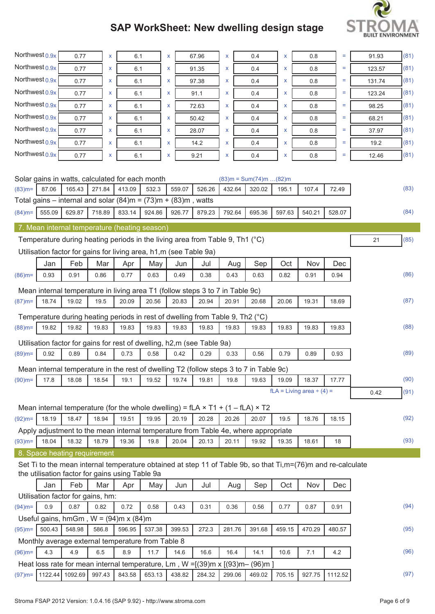

| Northwest <sub>0.9x</sub> |        | 0.77                                                                                       | X      |        | 6.1         | x |        | 67.96  | X      |     | 0.4                              | X      | 0.8                                                                                                          | Ξ       | 91.93  | (81) |
|---------------------------|--------|--------------------------------------------------------------------------------------------|--------|--------|-------------|---|--------|--------|--------|-----|----------------------------------|--------|--------------------------------------------------------------------------------------------------------------|---------|--------|------|
| Northwest 0.9x            |        | 0.77                                                                                       | X      |        | 6.1         | x |        | 91.35  | X      |     | 0.4                              | X      | 0.8                                                                                                          | Ξ       | 123.57 | (81) |
| Northwest 0.9x            |        | 0.77                                                                                       | X      |        | 6.1         | X |        | 97.38  | X      |     | 0.4                              | x      | 0.8                                                                                                          | Ξ       | 131.74 | (81) |
| Northwest 0.9x            |        | 0.77                                                                                       | X      |        | 6.1         | x |        | 91.1   | x      |     | 0.4                              | x      | 0.8                                                                                                          | $=$     | 123.24 | (81) |
| Northwest <sub>0.9x</sub> |        | 0.77                                                                                       | x      |        | 6.1         | x |        | 72.63  | x      |     | 0.4                              | x      | 0.8                                                                                                          | $=$     | 98.25  | (81) |
| Northwest 0.9x            |        | 0.77                                                                                       | x      |        | 6.1         | X |        | 50.42  | X      |     | 0.4                              | x      | 0.8                                                                                                          | Ξ       | 68.21  | (81) |
| Northwest <sub>0.9x</sub> |        | 0.77                                                                                       | X      |        | 6.1         | x |        | 28.07  | X      |     | 0.4                              | X      | 0.8                                                                                                          | $=$     | 37.97  | (81) |
| Northwest <sub>0.9x</sub> |        | 0.77                                                                                       | X      |        | 6.1         | x |        | 14.2   | X      |     | 0.4                              | X      | 0.8                                                                                                          | Ξ       | 19.2   | (81) |
| Northwest $0.9x$          |        | 0.77                                                                                       | x      |        | 6.1         | x |        | 9.21   | X      |     | 0.4                              | X      | 0.8                                                                                                          | Ξ       | 12.46  | (81) |
|                           |        |                                                                                            |        |        |             |   |        |        |        |     |                                  |        |                                                                                                              |         |        |      |
|                           |        | Solar gains in watts, calculated for each month                                            |        |        |             |   |        |        |        |     | $(83)$ m = Sum $(74)$ m $(82)$ m |        |                                                                                                              |         |        |      |
| $(83)$ m=                 | 87.06  | 165.43                                                                                     | 271.84 | 413.09 | 532.3       |   | 559.07 | 526.26 | 432.64 |     | 320.02                           | 195.1  | 107.4                                                                                                        | 72.49   |        | (83) |
|                           |        | Total gains – internal and solar $(84)$ m = $(73)$ m + $(83)$ m, watts                     |        |        |             |   |        |        |        |     |                                  |        |                                                                                                              |         |        |      |
| $(84)$ m=                 | 555.09 | 629.87                                                                                     | 718.89 | 833.14 | 924.86      |   | 926.77 | 879.23 | 792.64 |     | 695.36                           | 597.63 | 540.21                                                                                                       | 528.07  |        | (84) |
|                           |        | 7. Mean internal temperature (heating season)                                              |        |        |             |   |        |        |        |     |                                  |        |                                                                                                              |         |        |      |
|                           |        | Temperature during heating periods in the living area from Table 9, Th1 (°C)               |        |        |             |   |        |        |        |     |                                  |        |                                                                                                              |         | 21     | (85) |
|                           |        | Utilisation factor for gains for living area, h1,m (see Table 9a)                          |        |        |             |   |        |        |        |     |                                  |        |                                                                                                              |         |        |      |
|                           | Jan    | Feb                                                                                        | Mar    | Apr    | May         |   | Jun    | Jul    |        | Aug | Sep                              | Oct    | Nov                                                                                                          | Dec     |        |      |
| $(86)$ m=                 | 0.93   | 0.91                                                                                       | 0.86   | 0.77   | 0.63        |   | 0.49   | 0.38   | 0.43   |     | 0.63                             | 0.82   | 0.91                                                                                                         | 0.94    |        | (86) |
|                           |        | Mean internal temperature in living area T1 (follow steps 3 to 7 in Table 9c)              |        |        |             |   |        |        |        |     |                                  |        |                                                                                                              |         |        |      |
| $(87)$ m=                 | 18.74  | 19.02                                                                                      | 19.5   | 20.09  | 20.56       |   | 20.83  | 20.94  | 20.91  |     | 20.68                            | 20.06  | 19.31                                                                                                        | 18.69   |        | (87) |
|                           |        |                                                                                            |        |        |             |   |        |        |        |     |                                  |        |                                                                                                              |         |        |      |
|                           | 19.82  | Temperature during heating periods in rest of dwelling from Table 9, Th2 (°C)<br>19.82     | 19.83  | 19.83  | 19.83       |   | 19.83  | 19.83  | 19.83  |     | 19.83                            | 19.83  | 19.83                                                                                                        | 19.83   |        | (88) |
| $(88)$ m=                 |        |                                                                                            |        |        |             |   |        |        |        |     |                                  |        |                                                                                                              |         |        |      |
|                           |        | Utilisation factor for gains for rest of dwelling, h2,m (see Table 9a)                     |        |        |             |   |        |        |        |     |                                  |        |                                                                                                              |         |        |      |
| $(89)$ m=                 | 0.92   | 0.89                                                                                       | 0.84   | 0.73   | 0.58        |   | 0.42   | 0.29   | 0.33   |     | 0.56                             | 0.79   | 0.89                                                                                                         | 0.93    |        | (89) |
|                           |        | Mean internal temperature in the rest of dwelling T2 (follow steps 3 to 7 in Table 9c)     |        |        |             |   |        |        |        |     |                                  |        |                                                                                                              |         |        |      |
| $(90)$ m=                 | 17.8   | 18.08 18.54                                                                                |        | 19.1   | 19.52 19.74 |   |        | 19.81  | 19.8   |     | 19.63                            | 19.09  | 18.37                                                                                                        | 17.77   |        | (90) |
|                           |        |                                                                                            |        |        |             |   |        |        |        |     |                                  |        | $fLA = Living area \div (4) =$                                                                               |         | 0.42   | (91) |
|                           |        | Mean internal temperature (for the whole dwelling) = $fLA \times T1 + (1 - fLA) \times T2$ |        |        |             |   |        |        |        |     |                                  |        |                                                                                                              |         |        |      |
| $(92)$ m=                 | 18.19  | 18.47                                                                                      | 18.94  | 19.51  | 19.95       |   | 20.19  | 20.28  | 20.26  |     | 20.07                            | 19.5   | 18.76                                                                                                        | 18.15   |        | (92) |
|                           |        | Apply adjustment to the mean internal temperature from Table 4e, where appropriate         |        |        |             |   |        |        |        |     |                                  |        |                                                                                                              |         |        |      |
| $(93)$ m=                 | 18.04  | 18.32                                                                                      | 18.79  | 19.36  | 19.8        |   | 20.04  | 20.13  | 20.11  |     | 19.92                            | 19.35  | 18.61                                                                                                        | 18      |        | (93) |
|                           |        | 8. Space heating requirement                                                               |        |        |             |   |        |        |        |     |                                  |        |                                                                                                              |         |        |      |
|                           |        |                                                                                            |        |        |             |   |        |        |        |     |                                  |        | Set Ti to the mean internal temperature obtained at step 11 of Table 9b, so that Ti,m=(76)m and re-calculate |         |        |      |
|                           |        | the utilisation factor for gains using Table 9a                                            |        |        |             |   |        |        |        |     |                                  |        |                                                                                                              |         |        |      |
|                           | Jan    | Feb<br>Utilisation factor for gains, hm:                                                   | Mar    | Apr    | May         |   | Jun    | Jul    |        | Aug | Sep                              | Oct    | Nov                                                                                                          | Dec     |        |      |
| $(94)$ m=                 | 0.9    | 0.87                                                                                       | 0.82   | 0.72   | 0.58        |   | 0.43   | 0.31   | 0.36   |     | 0.56                             | 0.77   | 0.87                                                                                                         | 0.91    |        | (94) |
|                           |        | Useful gains, hmGm, $W = (94)$ m x $(84)$ m                                                |        |        |             |   |        |        |        |     |                                  |        |                                                                                                              |         |        |      |
| $(95)$ m=                 | 500.43 | 548.98                                                                                     | 586.8  | 596.95 | 537.38      |   | 399.53 | 272.3  | 281.76 |     | 391.68                           | 459.15 | 470.29                                                                                                       | 480.57  |        | (95) |
|                           |        | Monthly average external temperature from Table 8                                          |        |        |             |   |        |        |        |     |                                  |        |                                                                                                              |         |        |      |
| $(96)$ m=                 | 4.3    | 4.9                                                                                        | 6.5    | 8.9    | 11.7        |   | 14.6   | 16.6   | 16.4   |     | 14.1                             | 10.6   | 7.1                                                                                                          | 4.2     |        | (96) |
|                           |        | Heat loss rate for mean internal temperature, Lm, W =[(39)m x [(93)m- (96)m ]              |        |        |             |   |        |        |        |     |                                  |        |                                                                                                              |         |        |      |
| $(97)$ m=                 |        | 1122.44 1092.69                                                                            | 997.43 | 843.58 | 653.13      |   | 438.82 | 284.32 | 299.06 |     | 469.02                           | 705.15 | 927.75                                                                                                       | 1112.52 |        | (97) |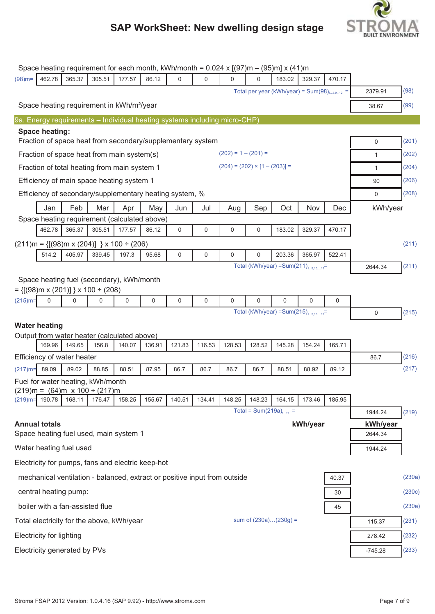

|            |                                 |                                                           |        | Space heating requirement for each month, kWh/month = $0.024 \times [(97) \text{m} - (95) \text{m}] \times (41) \text{m}$ |        |        |             |                       |                                                  |          |          |             |                     |        |
|------------|---------------------------------|-----------------------------------------------------------|--------|---------------------------------------------------------------------------------------------------------------------------|--------|--------|-------------|-----------------------|--------------------------------------------------|----------|----------|-------------|---------------------|--------|
| $(98)$ m=  | 462.78                          | 365.37                                                    | 305.51 | 177.57                                                                                                                    | 86.12  | 0      | $\Omega$    | 0                     | 0                                                | 183.02   | 329.37   | 470.17      |                     |        |
|            |                                 |                                                           |        |                                                                                                                           |        |        |             |                       | Total per year (kWh/year) = $Sum(98)_{15,912}$ = |          |          |             | 2379.91             | (98)   |
|            |                                 |                                                           |        | Space heating requirement in kWh/m <sup>2</sup> /year                                                                     |        |        |             |                       |                                                  |          |          |             | 38.67               | (99)   |
|            |                                 |                                                           |        | 9a. Energy requirements – Individual heating systems including micro-CHP)                                                 |        |        |             |                       |                                                  |          |          |             |                     |        |
|            | Space heating:                  |                                                           |        |                                                                                                                           |        |        |             |                       |                                                  |          |          |             |                     |        |
|            |                                 |                                                           |        | Fraction of space heat from secondary/supplementary system                                                                |        |        |             |                       |                                                  |          |          |             | 0                   | (201)  |
|            |                                 |                                                           |        | Fraction of space heat from main system(s)                                                                                |        |        |             | $(202) = 1 - (201) =$ |                                                  |          |          |             | $\mathbf{1}$        | (202)  |
|            |                                 |                                                           |        | Fraction of total heating from main system 1                                                                              |        |        |             |                       | $(204) = (202) \times [1 - (203)] =$             |          |          |             | $\mathbf{1}$        | (204)  |
|            |                                 |                                                           |        | Efficiency of main space heating system 1                                                                                 |        |        |             |                       |                                                  |          |          |             | 90                  | (206)  |
|            |                                 |                                                           |        | Efficiency of secondary/supplementary heating system, %                                                                   |        |        |             |                       |                                                  |          |          |             | 0                   | (208)  |
|            | Jan                             | Feb                                                       | Mar    | Apr                                                                                                                       | May    | Jun    | Jul         | Aug                   | Sep                                              | Oct      | Nov      | Dec         | kWh/year            |        |
|            |                                 |                                                           |        | Space heating requirement (calculated above)                                                                              |        |        |             |                       |                                                  |          |          |             |                     |        |
|            | 462.78                          | 365.37                                                    | 305.51 | 177.57                                                                                                                    | 86.12  | 0      | $\mathbf 0$ | 0                     | 0                                                | 183.02   | 329.37   | 470.17      |                     |        |
|            |                                 |                                                           |        | $(211)$ m = {[(98)m x (204)] } x 100 ÷ (206)                                                                              |        |        |             |                       |                                                  |          |          |             |                     | (211)  |
|            | 514.2                           | 405.97                                                    | 339.45 | 197.3                                                                                                                     | 95.68  | 0      | $\mathbf 0$ | 0                     | $\mathbf 0$                                      | 203.36   | 365.97   | 522.41      |                     |        |
|            |                                 |                                                           |        |                                                                                                                           |        |        |             |                       | Total (kWh/year) = Sum(211) $_{15,1012}$ =       |          |          |             | 2644.34             | (211)  |
|            |                                 |                                                           |        | Space heating fuel (secondary), kWh/month                                                                                 |        |        |             |                       |                                                  |          |          |             |                     |        |
|            | 0                               | $= \{ [(98)m \times (201)] \} \times 100 \div (208)$<br>0 | 0      | 0                                                                                                                         | 0      | 0      | $\mathbf 0$ | 0                     | $\mathbf 0$                                      | $\Omega$ | 0        | $\mathbf 0$ |                     |        |
| $(215)$ m= |                                 |                                                           |        |                                                                                                                           |        |        |             |                       | Total (kWh/year) = Sum(215) $_{15,1012}$ =       |          |          |             | $\mathbf 0$         | (215)  |
|            |                                 |                                                           |        |                                                                                                                           |        |        |             |                       |                                                  |          |          |             |                     |        |
|            | <b>Water heating</b>            |                                                           |        | Output from water heater (calculated above)                                                                               |        |        |             |                       |                                                  |          |          |             |                     |        |
|            | 169.96                          | 149.65                                                    | 156.8  | 140.07                                                                                                                    | 136.91 | 121.83 | 116.53      | 128.53                | 128.52                                           | 145.28   | 154.24   | 165.71      |                     |        |
|            |                                 | Efficiency of water heater                                |        |                                                                                                                           |        |        |             |                       |                                                  |          |          |             | 86.7                | (216)  |
| $(217)$ m= | 89.09                           | 89.02                                                     | 88.85  | 88.51                                                                                                                     | 87.95  | 86.7   | 86.7        | 86.7                  | 86.7                                             | 88.51    | 88.92    | 89.12       |                     | (217)  |
|            |                                 | Fuel for water heating, kWh/month                         |        |                                                                                                                           |        |        |             |                       |                                                  |          |          |             |                     |        |
|            |                                 | <u>(219)m =  (64)m  x 100 ÷ (217)m</u>                    |        |                                                                                                                           |        |        |             |                       |                                                  |          |          |             |                     |        |
|            | $(219)$ m= 190.78               | 168.11                                                    | 176.47 | 158.25                                                                                                                    | 155.67 | 140.51 | 134.41      | 148.25                | 148.23<br>Total = Sum(219a) <sub>1-12</sub> =    | 164.15   | 173.46   | 185.95      |                     |        |
|            |                                 |                                                           |        |                                                                                                                           |        |        |             |                       |                                                  |          |          |             | 1944.24             | (219)  |
|            | <b>Annual totals</b>            |                                                           |        | Space heating fuel used, main system 1                                                                                    |        |        |             |                       |                                                  |          | kWh/year |             | kWh/year<br>2644.34 |        |
|            |                                 | Water heating fuel used                                   |        |                                                                                                                           |        |        |             |                       |                                                  |          |          |             | 1944.24             |        |
|            |                                 |                                                           |        | Electricity for pumps, fans and electric keep-hot                                                                         |        |        |             |                       |                                                  |          |          |             |                     |        |
|            |                                 |                                                           |        | mechanical ventilation - balanced, extract or positive input from outside                                                 |        |        |             |                       |                                                  |          |          | 40.37       |                     | (230a) |
|            |                                 | central heating pump:                                     |        |                                                                                                                           |        |        |             |                       |                                                  |          |          | 30          |                     | (230c) |
|            |                                 | boiler with a fan-assisted flue                           |        |                                                                                                                           |        |        |             |                       |                                                  |          |          | 45          |                     | (230e) |
|            |                                 |                                                           |        | Total electricity for the above, kWh/year                                                                                 |        |        |             |                       | sum of $(230a)(230g) =$                          |          |          |             | 115.37              | (231)  |
|            | <b>Electricity for lighting</b> |                                                           |        |                                                                                                                           |        |        |             |                       |                                                  |          |          |             | 278.42              | (232)  |
|            |                                 | Electricity generated by PVs                              |        |                                                                                                                           |        |        |             |                       |                                                  |          |          |             | $-745.28$           | (233)  |
|            |                                 |                                                           |        |                                                                                                                           |        |        |             |                       |                                                  |          |          |             |                     |        |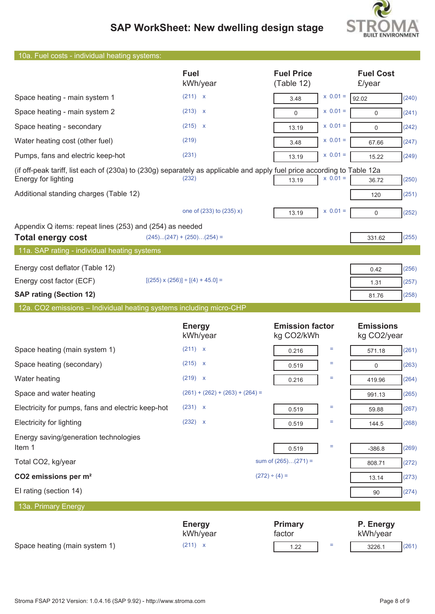

| 10a. Fuel costs - individual heating systems:                                                                                                  |                                            |                                      |                                 |
|------------------------------------------------------------------------------------------------------------------------------------------------|--------------------------------------------|--------------------------------------|---------------------------------|
|                                                                                                                                                | <b>Fuel</b><br>kWh/year                    | <b>Fuel Price</b><br>(Table 12)      | <b>Fuel Cost</b><br>£/year      |
| Space heating - main system 1                                                                                                                  | (211) x                                    | $x 0.01 =$<br>3.48                   | (240)<br>92.02                  |
| Space heating - main system 2                                                                                                                  | (213) x                                    | $x \ 0.01 =$<br>$\Omega$             | (241)<br>$\mathbf 0$            |
| Space heating - secondary                                                                                                                      | $(215)$ x                                  | $x 0.01 =$<br>13.19                  | (242)<br>$\mathbf 0$            |
| Water heating cost (other fuel)                                                                                                                | (219)                                      | $x 0.01 =$<br>3.48                   | (247)<br>67.66                  |
| Pumps, fans and electric keep-hot                                                                                                              | (231)                                      | $x 0.01 =$<br>13.19                  | (249)<br>15.22                  |
| (if off-peak tariff, list each of (230a) to (230g) separately as applicable and apply fuel price according to Table 12a<br>Energy for lighting | (232)                                      | $x 0.01 =$<br>13.19                  | (250)<br>36.72                  |
| Additional standing charges (Table 12)                                                                                                         |                                            |                                      | (251)<br>120                    |
|                                                                                                                                                | one of (233) to (235) x)                   | $x 0.01 =$<br>13.19                  | (252)<br>0                      |
| Appendix Q items: repeat lines (253) and (254) as needed<br><b>Total energy cost</b>                                                           | $(245)(247) + (250)(254) =$                |                                      | (255)<br>331.62                 |
| 11a. SAP rating - individual heating systems                                                                                                   |                                            |                                      |                                 |
| Energy cost deflator (Table 12)                                                                                                                |                                            |                                      | (256)<br>0.42                   |
| Energy cost factor (ECF)                                                                                                                       | $[(255) \times (256)] \div [(4) + 45.0] =$ |                                      | (257)<br>1.31                   |
| <b>SAP rating (Section 12)</b>                                                                                                                 |                                            |                                      | (258)<br>81.76                  |
|                                                                                                                                                |                                            |                                      |                                 |
| 12a. CO2 emissions - Individual heating systems including micro-CHP                                                                            |                                            |                                      |                                 |
|                                                                                                                                                | <b>Energy</b><br>kWh/year                  | <b>Emission factor</b><br>kg CO2/kWh | <b>Emissions</b><br>kg CO2/year |
| Space heating (main system 1)                                                                                                                  | (211) x                                    | Ξ<br>0.216                           | (261)<br>571.18                 |
| Space heating (secondary)                                                                                                                      | $(215)$ x                                  | Ξ<br>0.519                           | (263)<br>$\mathbf 0$            |
| Water heating                                                                                                                                  | (219) x                                    | Ξ<br>0.216                           | (264)<br>419.96                 |
| Space and water heating                                                                                                                        | $(261) + (262) + (263) + (264) =$          |                                      | (265)<br>991.13                 |
| Electricity for pumps, fans and electric keep-hot                                                                                              | (231) x                                    | Ξ<br>0.519                           | (267)<br>59.88                  |
| <b>Electricity for lighting</b>                                                                                                                | (232) x                                    | Ξ<br>0.519                           | (268)<br>144.5                  |
| Energy saving/generation technologies<br>Item 1                                                                                                |                                            | $\equiv$<br>0.519                    | (269)<br>$-386.8$               |
| Total CO2, kg/year                                                                                                                             |                                            | sum of $(265)(271) =$                | (272)<br>808.71                 |
| CO2 emissions per m <sup>2</sup>                                                                                                               |                                            | $(272) \div (4) =$                   | (273)<br>13.14                  |
| El rating (section 14)                                                                                                                         |                                            |                                      | (274)<br>90                     |
| 13a. Primary Energy                                                                                                                            |                                            |                                      |                                 |
| Space heating (main system 1)                                                                                                                  | <b>Energy</b><br>kWh/year<br>(211) x       | <b>Primary</b><br>factor             | P. Energy<br>kWh/year           |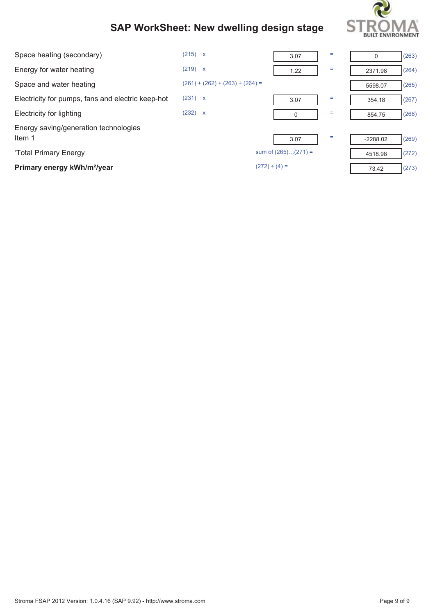

| Space heating (secondary)                         | (215) x                           | 3.07                  | = | 0          | (263) |
|---------------------------------------------------|-----------------------------------|-----------------------|---|------------|-------|
| Energy for water heating                          | (219) x                           | 1.22                  | Ξ | 2371.98    | (264) |
| Space and water heating                           | $(261) + (262) + (263) + (264) =$ |                       |   | 5598.07    | (265) |
| Electricity for pumps, fans and electric keep-hot | (231) x                           | 3.07                  | = | 354.18     | (267) |
| Electricity for lighting                          | (232) x                           | 0                     | Ξ | 854.75     | (268) |
| Energy saving/generation technologies<br>Item 1   |                                   | 3.07                  | Ξ | $-2288.02$ | (269) |
| 'Total Primary Energy                             |                                   | sum of $(265)(271) =$ |   | 4518.98    | (272) |
| Primary energy kWh/m <sup>2</sup> /year           |                                   | $(272) \div (4) =$    |   | 73.42      | (273) |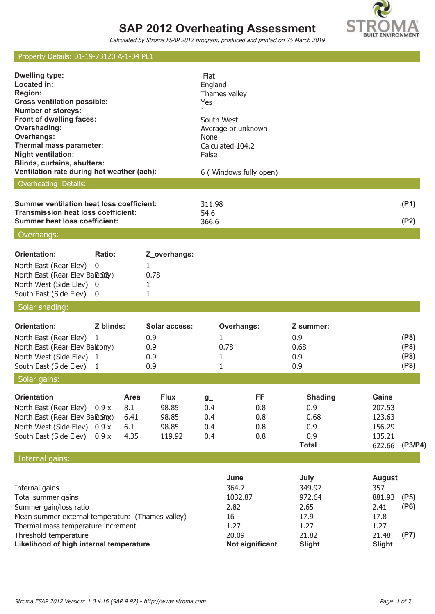# **SAP 2012 Overheating Assessment**



Calculated by Stroma FSAP 2012 program, produced and printed on 25 March 2019

### Property Details: 01-19-73120 A-1-04 PL1

| <b>Dwelling type:</b><br>Located in:<br><b>Region:</b><br><b>Cross ventilation possible:</b><br><b>Number of storeys:</b><br>Front of dwelling faces:<br>Overshading:<br><b>Overhangs:</b><br>Thermal mass parameter:<br><b>Night ventilation:</b><br><b>Blinds, curtains, shutters:</b><br>Ventilation rate during hot weather (ach): |             |                                    |                                                  | Flat<br>England<br>Thames valley<br>Yes<br>1<br>South West<br>None<br>False | Average or unknown<br>Calculated 104.2<br>6 ( Windows fully open)          |                                                                            |                                                                                  |                              |
|----------------------------------------------------------------------------------------------------------------------------------------------------------------------------------------------------------------------------------------------------------------------------------------------------------------------------------------|-------------|------------------------------------|--------------------------------------------------|-----------------------------------------------------------------------------|----------------------------------------------------------------------------|----------------------------------------------------------------------------|----------------------------------------------------------------------------------|------------------------------|
| Overheating Details:                                                                                                                                                                                                                                                                                                                   |             |                                    |                                                  |                                                                             |                                                                            |                                                                            |                                                                                  |                              |
| <b>Summer ventilation heat loss coefficient:</b><br><b>Transmission heat loss coefficient:</b><br><b>Summer heat loss coefficient:</b>                                                                                                                                                                                                 |             |                                    |                                                  | 311.98<br>54.6<br>366.6                                                     |                                                                            |                                                                            |                                                                                  | (P1)<br>(P2)                 |
| Overhangs:                                                                                                                                                                                                                                                                                                                             |             |                                    |                                                  |                                                                             |                                                                            |                                                                            |                                                                                  |                              |
| Orientation:                                                                                                                                                                                                                                                                                                                           | Ratio:      |                                    |                                                  |                                                                             |                                                                            |                                                                            |                                                                                  |                              |
| North East (Rear Elev)<br>North East (Rear Elev Balacery)<br>North West (Side Elev) 0<br>South East (Side Elev) 0                                                                                                                                                                                                                      | $\mathbf 0$ |                                    | Z_overhangs:<br>$\mathbf{1}$<br>0.78<br>1<br>1   |                                                                             |                                                                            |                                                                            |                                                                                  |                              |
| Solar shading:                                                                                                                                                                                                                                                                                                                         |             |                                    |                                                  |                                                                             |                                                                            |                                                                            |                                                                                  |                              |
| <b>Orientation:</b>                                                                                                                                                                                                                                                                                                                    | Z blinds:   |                                    | Solar access:                                    |                                                                             | Overhangs:                                                                 | Z summer:                                                                  |                                                                                  |                              |
| North East (Rear Elev)<br>North East (Rear Elev Baltony)<br>North West (Side Elev) 1<br>South East (Side Elev)                                                                                                                                                                                                                         | - 1<br>-1   |                                    | 0.9<br>0.9<br>0.9<br>0.9                         | 1<br>0.78<br>1<br>1                                                         |                                                                            | 0.9<br>0.68<br>0.9<br>0.9                                                  |                                                                                  | (P8)<br>(P8)<br>(P8)<br>(P8) |
| Solar gains:                                                                                                                                                                                                                                                                                                                           |             |                                    |                                                  |                                                                             |                                                                            |                                                                            |                                                                                  |                              |
| Orientation<br>North East (Rear Elev) 0.9 x<br>North East (Rear Elev Balachy)<br>North West (Side Elev) 0.9 x<br>South East (Side Elev)                                                                                                                                                                                                | 0.9x        | Area<br>8.1<br>6.41<br>6.1<br>4.35 | <b>Flux</b><br>98.85<br>98.85<br>98.85<br>119.92 | $g_{-}$<br>0.4<br>0.4<br>0.4<br>0.4                                         | FF<br>0.8<br>0.8<br>0.8<br>0.8                                             | <b>Shading</b><br>0.9<br>0.68<br>0.9<br>0.9<br><b>Total</b>                | Gains<br>207.53<br>123.63<br>156.29<br>135.21<br>622.66                          | (P3/P4)                      |
| Internal gains:                                                                                                                                                                                                                                                                                                                        |             |                                    |                                                  |                                                                             |                                                                            |                                                                            |                                                                                  |                              |
| Internal gains<br>Total summer gains<br>Summer gain/loss ratio<br>Mean summer external temperature (Thames valley)<br>Thermal mass temperature increment<br>Threshold temperature<br>Likelihood of high internal temperature                                                                                                           |             |                                    |                                                  |                                                                             | June<br>364.7<br>1032.87<br>2.82<br>16<br>1.27<br>20.09<br>Not significant | July<br>349.97<br>972.64<br>2.65<br>17.9<br>1.27<br>21.82<br><b>Slight</b> | <b>August</b><br>357<br>881.93<br>2.41<br>17.8<br>1.27<br>21.48<br><b>Slight</b> | (P5)<br>(P6)<br>(P7)         |